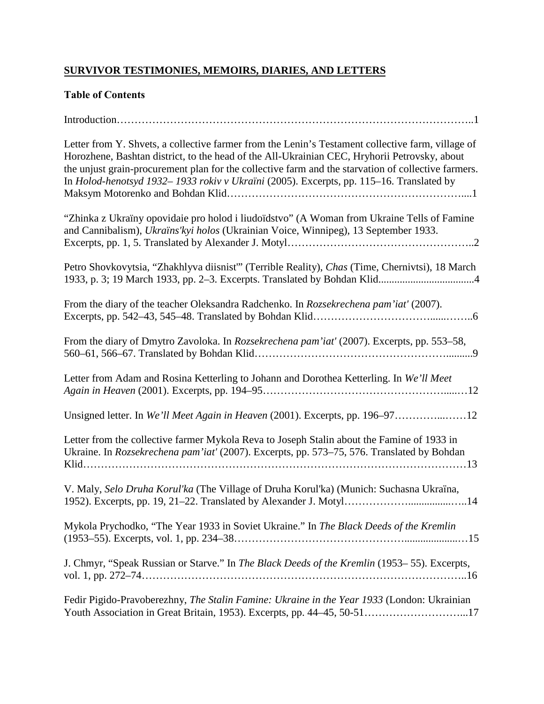# **SURVIVOR TESTIMONIES, MEMOIRS, DIARIES, AND LETTERS**

# **Table of Contents**

| Letter from Y. Shvets, a collective farmer from the Lenin's Testament collective farm, village of<br>Horozhene, Bashtan district, to the head of the All-Ukrainian CEC, Hryhorii Petrovsky, about<br>the unjust grain-procurement plan for the collective farm and the starvation of collective farmers.<br>In Holod-henotsyd 1932-1933 rokiv v Ukraïni (2005). Excerpts, pp. 115-16. Translated by |
|-----------------------------------------------------------------------------------------------------------------------------------------------------------------------------------------------------------------------------------------------------------------------------------------------------------------------------------------------------------------------------------------------------|
| "Zhinka z Ukraïny opovidaie pro holod i liudoïdstvo" (A Woman from Ukraine Tells of Famine<br>and Cannibalism), Ukraïns'kyi holos (Ukrainian Voice, Winnipeg), 13 September 1933.                                                                                                                                                                                                                   |
| Petro Shovkovytsia, "Zhakhlyva diisnist"' (Terrible Reality), Chas (Time, Chernivtsi), 18 March                                                                                                                                                                                                                                                                                                     |
| From the diary of the teacher Oleksandra Radchenko. In Rozsekrechena pam'iat' (2007).                                                                                                                                                                                                                                                                                                               |
| From the diary of Dmytro Zavoloka. In Rozsekrechena pam'iat' (2007). Excerpts, pp. 553–58,                                                                                                                                                                                                                                                                                                          |
| Letter from Adam and Rosina Ketterling to Johann and Dorothea Ketterling. In We'll Meet                                                                                                                                                                                                                                                                                                             |
| Unsigned letter. In We'll Meet Again in Heaven (2001). Excerpts, pp. 196–9712                                                                                                                                                                                                                                                                                                                       |
| Letter from the collective farmer Mykola Reva to Joseph Stalin about the Famine of 1933 in<br>Ukraine. In Rozsekrechena pam'iat' (2007). Excerpts, pp. 573-75, 576. Translated by Bohdan                                                                                                                                                                                                            |
| V. Maly, Selo Druha Korul'ka (The Village of Druha Korul'ka) (Munich: Suchasna Ukraïna,                                                                                                                                                                                                                                                                                                             |
| Mykola Prychodko, "The Year 1933 in Soviet Ukraine." In The Black Deeds of the Kremlin                                                                                                                                                                                                                                                                                                              |
| J. Chmyr, "Speak Russian or Starve." In The Black Deeds of the Kremlin (1953-55). Excerpts,                                                                                                                                                                                                                                                                                                         |
| Fedir Pigido-Pravoberezhny, The Stalin Famine: Ukraine in the Year 1933 (London: Ukrainian<br>Youth Association in Great Britain, 1953). Excerpts, pp. 44-45, 50-5117                                                                                                                                                                                                                               |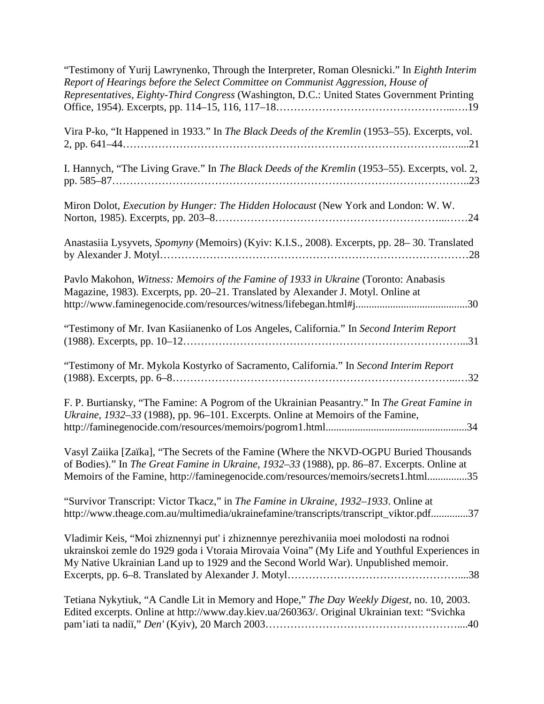| "Testimony of Yurij Lawrynenko, Through the Interpreter, Roman Olesnicki." In Eighth Interim<br>Report of Hearings before the Select Committee on Communist Aggression, House of<br>Representatives, Eighty-Third Congress (Washington, D.C.: United States Government Printing |
|---------------------------------------------------------------------------------------------------------------------------------------------------------------------------------------------------------------------------------------------------------------------------------|
| Vira P-ko, "It Happened in 1933." In The Black Deeds of the Kremlin (1953–55). Excerpts, vol.                                                                                                                                                                                   |
| I. Hannych, "The Living Grave." In The Black Deeds of the Kremlin (1953-55). Excerpts, vol. 2,                                                                                                                                                                                  |
| Miron Dolot, <i>Execution by Hunger: The Hidden Holocaust</i> (New York and London: W. W.                                                                                                                                                                                       |
| Anastasiia Lysyvets, Spomyny (Memoirs) (Kyiv: K.I.S., 2008). Excerpts, pp. 28–30. Translated                                                                                                                                                                                    |
| Pavlo Makohon, Witness: Memoirs of the Famine of 1933 in Ukraine (Toronto: Anabasis<br>Magazine, 1983). Excerpts, pp. 20–21. Translated by Alexander J. Motyl. Online at                                                                                                        |
| "Testimony of Mr. Ivan Kasiianenko of Los Angeles, California." In Second Interim Report                                                                                                                                                                                        |
| "Testimony of Mr. Mykola Kostyrko of Sacramento, California." In Second Interim Report                                                                                                                                                                                          |
| F. P. Burtiansky, "The Famine: A Pogrom of the Ukrainian Peasantry." In The Great Famine in<br>Ukraine, 1932–33 (1988), pp. 96–101. Excerpts. Online at Memoirs of the Famine,                                                                                                  |
| Vasyl Zaiika [Zaïka], "The Secrets of the Famine (Where the NKVD-OGPU Buried Thousands<br>of Bodies)." In The Great Famine in Ukraine, 1932–33 (1988), pp. 86–87. Excerpts. Online at<br>Memoirs of the Famine, http://faminegenocide.com/resources/memoirs/secrets1.html35     |
| "Survivor Transcript: Victor Tkacz," in The Famine in Ukraine, 1932-1933. Online at<br>http://www.theage.com.au/multimedia/ukrainefamine/transcripts/transcript_viktor.pdf37                                                                                                    |
| Vladimir Keis, "Moi zhiznennyi put' i zhiznennye perezhivaniia moei molodosti na rodnoi<br>ukrainskoi zemle do 1929 goda i Vtoraia Mirovaia Voina" (My Life and Youthful Experiences in<br>My Native Ukrainian Land up to 1929 and the Second World War). Unpublished memoir.   |
| Tetiana Nykytiuk, "A Candle Lit in Memory and Hope," The Day Weekly Digest, no. 10, 2003.<br>Edited excerpts. Online at http://www.day.kiev.ua/260363/. Original Ukrainian text: "Svichka                                                                                       |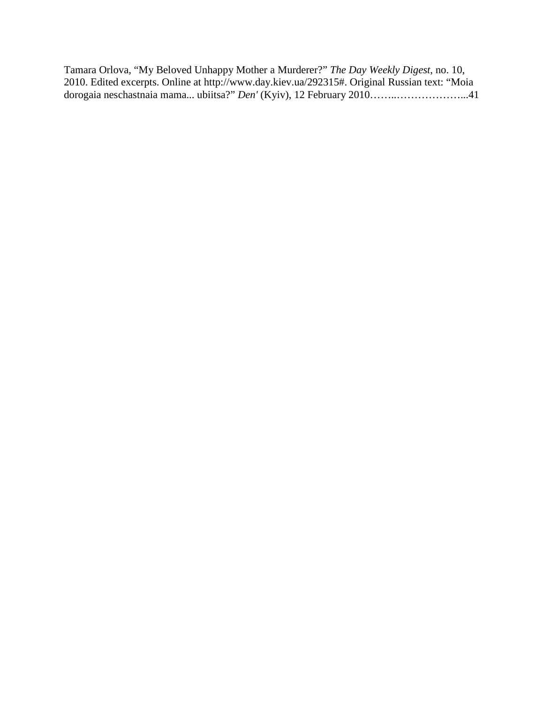Tamara Orlova, "My Beloved Unhappy Mother a Murderer?" *The Day Weekly Digest*, no. 10, 2010. Edited excerpts. Online at http://www.day.kiev.ua/292315#. Original Russian text: "Moia dorogaia neschastnaia mama... ubiitsa?" *Den'* (Kyiv), 12 February 2010……..………………...41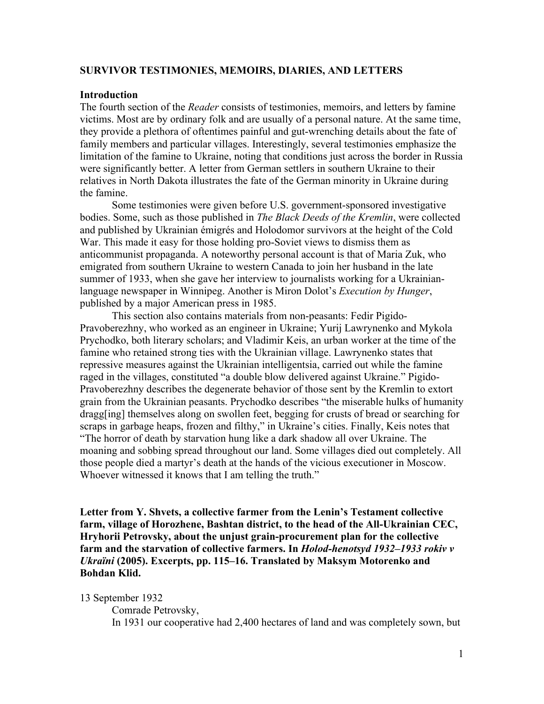## **SURVIVOR TESTIMONIES, MEMOIRS, DIARIES, AND LETTERS**

### **Introduction**

The fourth section of the *Reader* consists of testimonies, memoirs, and letters by famine victims. Most are by ordinary folk and are usually of a personal nature. At the same time, they provide a plethora of oftentimes painful and gut-wrenching details about the fate of family members and particular villages. Interestingly, several testimonies emphasize the limitation of the famine to Ukraine, noting that conditions just across the border in Russia were significantly better. A letter from German settlers in southern Ukraine to their relatives in North Dakota illustrates the fate of the German minority in Ukraine during the famine.

Some testimonies were given before U.S. government-sponsored investigative bodies. Some, such as those published in *The Black Deeds of the Kremlin*, were collected and published by Ukrainian émigrés and Holodomor survivors at the height of the Cold War. This made it easy for those holding pro-Soviet views to dismiss them as anticommunist propaganda. A noteworthy personal account is that of Maria Zuk, who emigrated from southern Ukraine to western Canada to join her husband in the late summer of 1933, when she gave her interview to journalists working for a Ukrainianlanguage newspaper in Winnipeg. Another is Miron Dolot's *Execution by Hunger*, published by a major American press in 1985.

This section also contains materials from non-peasants: Fedir Pigido-Pravoberezhny, who worked as an engineer in Ukraine; Yurij Lawrynenko and Mykola Prychodko, both literary scholars; and Vladimir Keis, an urban worker at the time of the famine who retained strong ties with the Ukrainian village. Lawrynenko states that repressive measures against the Ukrainian intelligentsia, carried out while the famine raged in the villages, constituted "a double blow delivered against Ukraine." Pigido-Pravoberezhny describes the degenerate behavior of those sent by the Kremlin to extort grain from the Ukrainian peasants. Prychodko describes "the miserable hulks of humanity dragg[ing] themselves along on swollen feet, begging for crusts of bread or searching for scraps in garbage heaps, frozen and filthy," in Ukraine's cities. Finally, Keis notes that "The horror of death by starvation hung like a dark shadow all over Ukraine. The moaning and sobbing spread throughout our land. Some villages died out completely. All those people died a martyr's death at the hands of the vicious executioner in Moscow. Whoever witnessed it knows that I am telling the truth."

**Letter from Y. Shvets, a collective farmer from the Lenin's Testament collective farm, village of Horozhene, Bashtan district, to the head of the All-Ukrainian CEC, Hryhorii Petrovsky, about the unjust grain-procurement plan for the collective farm and the starvation of collective farmers. In** *Holod-henotsyd 1932–1933 rokiv v Ukraïni* **(2005). Excerpts, pp. 115–16. Translated by Maksym Motorenko and Bohdan Klid.** 

13 September 1932

Comrade Petrovsky,

In 1931 our cooperative had 2,400 hectares of land and was completely sown, but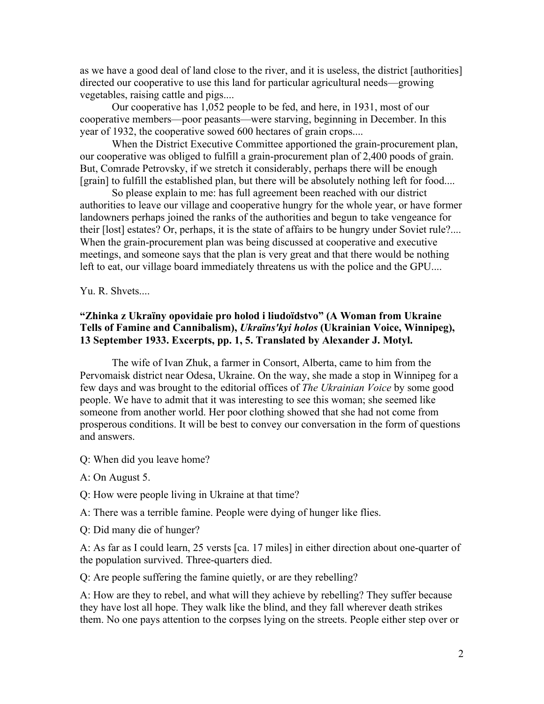as we have a good deal of land close to the river, and it is useless, the district [authorities] directed our cooperative to use this land for particular agricultural needs—growing vegetables, raising cattle and pigs....

Our cooperative has 1,052 people to be fed, and here, in 1931, most of our cooperative members—poor peasants—were starving, beginning in December. In this year of 1932, the cooperative sowed 600 hectares of grain crops....

When the District Executive Committee apportioned the grain-procurement plan, our cooperative was obliged to fulfill a grain-procurement plan of 2,400 poods of grain. But, Comrade Petrovsky, if we stretch it considerably, perhaps there will be enough [grain] to fulfill the established plan, but there will be absolutely nothing left for food....

So please explain to me: has full agreement been reached with our district authorities to leave our village and cooperative hungry for the whole year, or have former landowners perhaps joined the ranks of the authorities and begun to take vengeance for their [lost] estates? Or, perhaps, it is the state of affairs to be hungry under Soviet rule?.... When the grain-procurement plan was being discussed at cooperative and executive meetings, and someone says that the plan is very great and that there would be nothing left to eat, our village board immediately threatens us with the police and the GPU....

## Yu. R. Shvets....

# **"Zhinka z Ukraïny opovidaie pro holod i liudoïdstvo" (A Woman from Ukraine Tells of Famine and Cannibalism),** *Ukraïns'kyi holos* **(Ukrainian Voice, Winnipeg), 13 September 1933. Excerpts, pp. 1, 5. Translated by Alexander J. Motyl.**

The wife of Ivan Zhuk, a farmer in Consort, Alberta, came to him from the Pervomaisk district near Odesa, Ukraine. On the way, she made a stop in Winnipeg for a few days and was brought to the editorial offices of *The Ukrainian Voice* by some good people. We have to admit that it was interesting to see this woman; she seemed like someone from another world. Her poor clothing showed that she had not come from prosperous conditions. It will be best to convey our conversation in the form of questions and answers.

Q: When did you leave home?

A: On August 5.

Q: How were people living in Ukraine at that time?

A: There was a terrible famine. People were dying of hunger like flies.

Q: Did many die of hunger?

A: As far as I could learn, 25 versts [ca. 17 miles] in either direction about one-quarter of the population survived. Three-quarters died.

Q: Are people suffering the famine quietly, or are they rebelling?

A: How are they to rebel, and what will they achieve by rebelling? They suffer because they have lost all hope. They walk like the blind, and they fall wherever death strikes them. No one pays attention to the corpses lying on the streets. People either step over or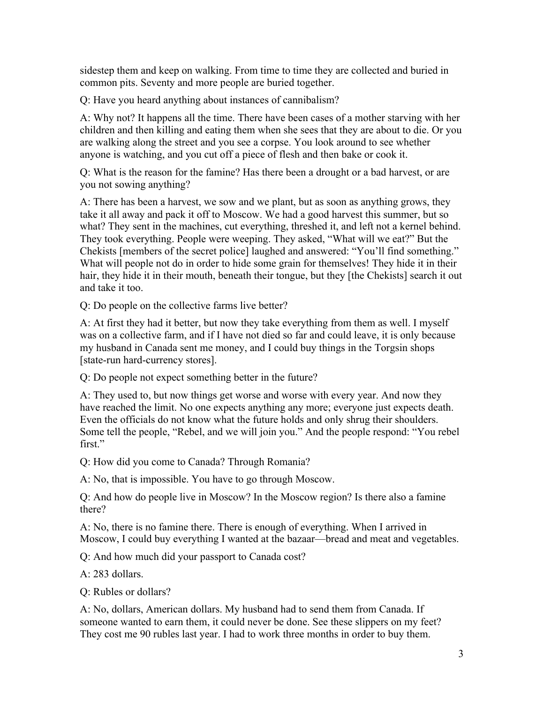sidestep them and keep on walking. From time to time they are collected and buried in common pits. Seventy and more people are buried together.

Q: Have you heard anything about instances of cannibalism?

A: Why not? It happens all the time. There have been cases of a mother starving with her children and then killing and eating them when she sees that they are about to die. Or you are walking along the street and you see a corpse. You look around to see whether anyone is watching, and you cut off a piece of flesh and then bake or cook it.

Q: What is the reason for the famine? Has there been a drought or a bad harvest, or are you not sowing anything?

A: There has been a harvest, we sow and we plant, but as soon as anything grows, they take it all away and pack it off to Moscow. We had a good harvest this summer, but so what? They sent in the machines, cut everything, threshed it, and left not a kernel behind. They took everything. People were weeping. They asked, "What will we eat?" But the Chekists [members of the secret police] laughed and answered: "You'll find something." What will people not do in order to hide some grain for themselves! They hide it in their hair, they hide it in their mouth, beneath their tongue, but they [the Chekists] search it out and take it too.

Q: Do people on the collective farms live better?

A: At first they had it better, but now they take everything from them as well. I myself was on a collective farm, and if I have not died so far and could leave, it is only because my husband in Canada sent me money, and I could buy things in the Torgsin shops [state-run hard-currency stores].

Q: Do people not expect something better in the future?

A: They used to, but now things get worse and worse with every year. And now they have reached the limit. No one expects anything any more; everyone just expects death. Even the officials do not know what the future holds and only shrug their shoulders. Some tell the people, "Rebel, and we will join you." And the people respond: "You rebel first."

Q: How did you come to Canada? Through Romania?

A: No, that is impossible. You have to go through Moscow.

Q: And how do people live in Moscow? In the Moscow region? Is there also a famine there?

A: No, there is no famine there. There is enough of everything. When I arrived in Moscow, I could buy everything I wanted at the bazaar—bread and meat and vegetables.

Q: And how much did your passport to Canada cost?

A: 283 dollars.

Q: Rubles or dollars?

A: No, dollars, American dollars. My husband had to send them from Canada. If someone wanted to earn them, it could never be done. See these slippers on my feet? They cost me 90 rubles last year. I had to work three months in order to buy them.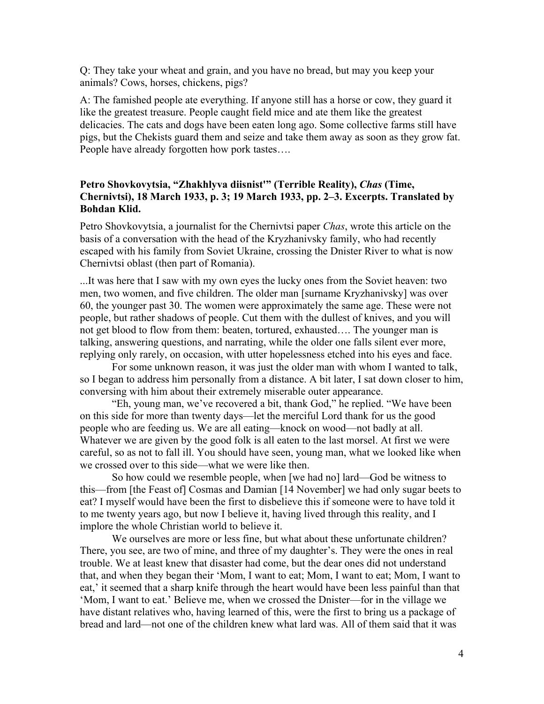Q: They take your wheat and grain, and you have no bread, but may you keep your animals? Cows, horses, chickens, pigs?

A: The famished people ate everything. If anyone still has a horse or cow, they guard it like the greatest treasure. People caught field mice and ate them like the greatest delicacies. The cats and dogs have been eaten long ago. Some collective farms still have pigs, but the Chekists guard them and seize and take them away as soon as they grow fat. People have already forgotten how pork tastes….

# **Petro Shovkovytsia, "Zhakhlyva diisnist'" (Terrible Reality),** *Chas* **(Time, Chernivtsi), 18 March 1933, p. 3; 19 March 1933, pp. 2–3. Excerpts. Translated by Bohdan Klid.**

Petro Shovkovytsia, a journalist for the Chernivtsi paper *Chas*, wrote this article on the basis of a conversation with the head of the Kryzhanivsky family, who had recently escaped with his family from Soviet Ukraine, crossing the Dnister River to what is now Chernivtsi oblast (then part of Romania).

...It was here that I saw with my own eyes the lucky ones from the Soviet heaven: two men, two women, and five children. The older man [surname Kryzhanivsky] was over 60, the younger past 30. The women were approximately the same age. These were not people, but rather shadows of people. Cut them with the dullest of knives, and you will not get blood to flow from them: beaten, tortured, exhausted…. The younger man is talking, answering questions, and narrating, while the older one falls silent ever more, replying only rarely, on occasion, with utter hopelessness etched into his eyes and face.

For some unknown reason, it was just the older man with whom I wanted to talk, so I began to address him personally from a distance. A bit later, I sat down closer to him, conversing with him about their extremely miserable outer appearance.

"Eh, young man, we've recovered a bit, thank God," he replied. "We have been on this side for more than twenty days—let the merciful Lord thank for us the good people who are feeding us. We are all eating—knock on wood—not badly at all. Whatever we are given by the good folk is all eaten to the last morsel. At first we were careful, so as not to fall ill. You should have seen, young man, what we looked like when we crossed over to this side—what we were like then.

So how could we resemble people, when [we had no] lard—God be witness to this—from [the Feast of] Cosmas and Damian [14 November] we had only sugar beets to eat? I myself would have been the first to disbelieve this if someone were to have told it to me twenty years ago, but now I believe it, having lived through this reality, and I implore the whole Christian world to believe it.

We ourselves are more or less fine, but what about these unfortunate children? There, you see, are two of mine, and three of my daughter's. They were the ones in real trouble. We at least knew that disaster had come, but the dear ones did not understand that, and when they began their 'Mom, I want to eat; Mom, I want to eat; Mom, I want to eat,' it seemed that a sharp knife through the heart would have been less painful than that 'Mom, I want to eat.' Believe me, when we crossed the Dnister—for in the village we have distant relatives who, having learned of this, were the first to bring us a package of bread and lard—not one of the children knew what lard was. All of them said that it was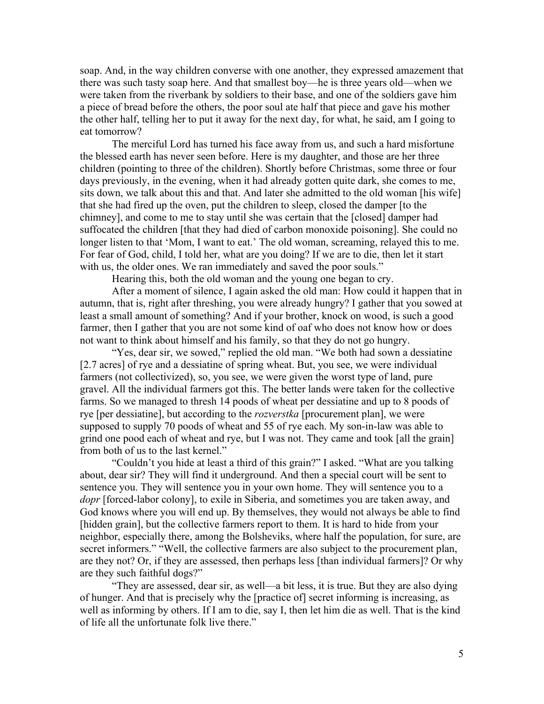soap. And, in the way children converse with one another, they expressed amazement that there was such tasty soap here. And that smallest boy—he is three years old—when we were taken from the riverbank by soldiers to their base, and one of the soldiers gave him a piece of bread before the others, the poor soul ate half that piece and gave his mother the other half, telling her to put it away for the next day, for what, he said, am I going to eat tomorrow?

The merciful Lord has turned his face away from us, and such a hard misfortune the blessed earth has never seen before. Here is my daughter, and those are her three children (pointing to three of the children). Shortly before Christmas, some three or four days previously, in the evening, when it had already gotten quite dark, she comes to me, sits down, we talk about this and that. And later she admitted to the old woman [his wife] that she had fired up the oven, put the children to sleep, closed the damper [to the chimney], and come to me to stay until she was certain that the [closed] damper had suffocated the children [that they had died of carbon monoxide poisoning]. She could no longer listen to that 'Mom, I want to eat.' The old woman, screaming, relayed this to me. For fear of God, child, I told her, what are you doing? If we are to die, then let it start with us, the older ones. We ran immediately and saved the poor souls."

Hearing this, both the old woman and the young one began to cry.

After a moment of silence, I again asked the old man: How could it happen that in autumn, that is, right after threshing, you were already hungry? I gather that you sowed at least a small amount of something? And if your brother, knock on wood, is such a good farmer, then I gather that you are not some kind of oaf who does not know how or does not want to think about himself and his family, so that they do not go hungry.

"Yes, dear sir, we sowed," replied the old man. "We both had sown a dessiatine" [2.7 acres] of rye and a dessiatine of spring wheat. But, you see, we were individual farmers (not collectivized), so, you see, we were given the worst type of land, pure gravel. All the individual farmers got this. The better lands were taken for the collective farms. So we managed to thresh 14 poods of wheat per dessiatine and up to 8 poods of rye [per dessiatine], but according to the *rozverstka* [procurement plan], we were supposed to supply 70 poods of wheat and 55 of rye each. My son-in-law was able to grind one pood each of wheat and rye, but I was not. They came and took [all the grain] from both of us to the last kernel."

"Couldn't you hide at least a third of this grain?" I asked. "What are you talking about, dear sir? They will find it underground. And then a special court will be sent to sentence you. They will sentence you in your own home. They will sentence you to a *dopr* [forced-labor colony], to exile in Siberia, and sometimes you are taken away, and God knows where you will end up. By themselves, they would not always be able to find [hidden grain], but the collective farmers report to them. It is hard to hide from your neighbor, especially there, among the Bolsheviks, where half the population, for sure, are secret informers." "Well, the collective farmers are also subject to the procurement plan, are they not? Or, if they are assessed, then perhaps less [than individual farmers]? Or why are they such faithful dogs?"

"They are assessed, dear sir, as well—a bit less, it is true. But they are also dying of hunger. And that is precisely why the [practice of] secret informing is increasing, as well as informing by others. If I am to die, say I, then let him die as well. That is the kind of life all the unfortunate folk live there."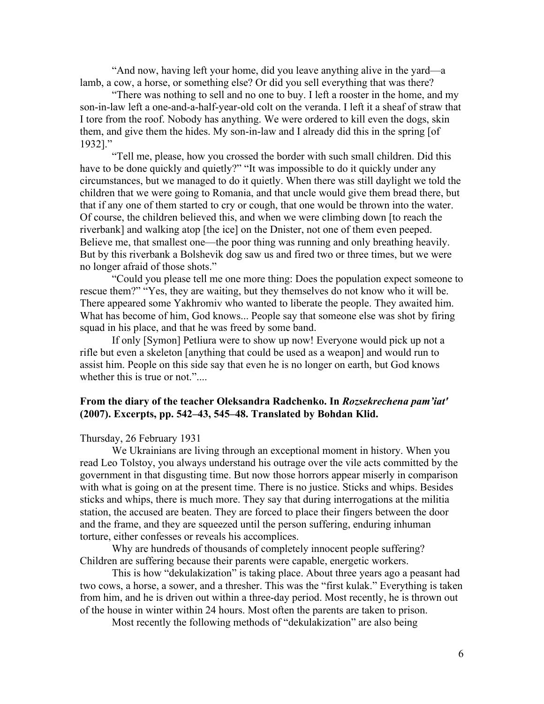"And now, having left your home, did you leave anything alive in the yard—a lamb, a cow, a horse, or something else? Or did you sell everything that was there?

"There was nothing to sell and no one to buy. I left a rooster in the home, and my son-in-law left a one-and-a-half-year-old colt on the veranda. I left it a sheaf of straw that I tore from the roof. Nobody has anything. We were ordered to kill even the dogs, skin them, and give them the hides. My son-in-law and I already did this in the spring [of 1932]."

"Tell me, please, how you crossed the border with such small children. Did this have to be done quickly and quietly?" "It was impossible to do it quickly under any circumstances, but we managed to do it quietly. When there was still daylight we told the children that we were going to Romania, and that uncle would give them bread there, but that if any one of them started to cry or cough, that one would be thrown into the water. Of course, the children believed this, and when we were climbing down [to reach the riverbank] and walking atop [the ice] on the Dnister, not one of them even peeped. Believe me, that smallest one—the poor thing was running and only breathing heavily. But by this riverbank a Bolshevik dog saw us and fired two or three times, but we were no longer afraid of those shots."

"Could you please tell me one more thing: Does the population expect someone to rescue them?" "Yes, they are waiting, but they themselves do not know who it will be. There appeared some Yakhromiv who wanted to liberate the people. They awaited him. What has become of him, God knows... People say that someone else was shot by firing squad in his place, and that he was freed by some band.

If only [Symon] Petliura were to show up now! Everyone would pick up not a rifle but even a skeleton [anything that could be used as a weapon] and would run to assist him. People on this side say that even he is no longer on earth, but God knows whether this is true or not."....

## **From the diary of the teacher Oleksandra Radchenko. In** *Rozsekrechena pam'iat'*  **(2007). Excerpts, pp. 542–43, 545–48. Translated by Bohdan Klid.**

### Thursday, 26 February 1931

We Ukrainians are living through an exceptional moment in history. When you read Leo Tolstoy, you always understand his outrage over the vile acts committed by the government in that disgusting time. But now those horrors appear miserly in comparison with what is going on at the present time. There is no justice. Sticks and whips. Besides sticks and whips, there is much more. They say that during interrogations at the militia station, the accused are beaten. They are forced to place their fingers between the door and the frame, and they are squeezed until the person suffering, enduring inhuman torture, either confesses or reveals his accomplices.

Why are hundreds of thousands of completely innocent people suffering? Children are suffering because their parents were capable, energetic workers.

This is how "dekulakization" is taking place. About three years ago a peasant had two cows, a horse, a sower, and a thresher. This was the "first kulak." Everything is taken from him, and he is driven out within a three-day period. Most recently, he is thrown out of the house in winter within 24 hours. Most often the parents are taken to prison.

Most recently the following methods of "dekulakization" are also being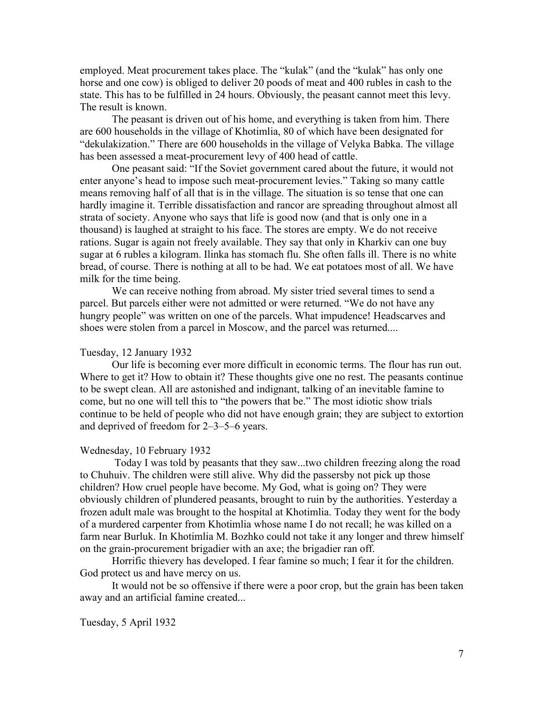employed. Meat procurement takes place. The "kulak" (and the "kulak" has only one horse and one cow) is obliged to deliver 20 poods of meat and 400 rubles in cash to the state. This has to be fulfilled in 24 hours. Obviously, the peasant cannot meet this levy. The result is known.

The peasant is driven out of his home, and everything is taken from him. There are 600 households in the village of Khotimlia, 80 of which have been designated for "dekulakization." There are 600 households in the village of Velyka Babka. The village has been assessed a meat-procurement levy of 400 head of cattle.

One peasant said: "If the Soviet government cared about the future, it would not enter anyone's head to impose such meat-procurement levies." Taking so many cattle means removing half of all that is in the village. The situation is so tense that one can hardly imagine it. Terrible dissatisfaction and rancor are spreading throughout almost all strata of society. Anyone who says that life is good now (and that is only one in a thousand) is laughed at straight to his face. The stores are empty. We do not receive rations. Sugar is again not freely available. They say that only in Kharkiv can one buy sugar at 6 rubles a kilogram. Ilinka has stomach flu. She often falls ill. There is no white bread, of course. There is nothing at all to be had. We eat potatoes most of all. We have milk for the time being.

We can receive nothing from abroad. My sister tried several times to send a parcel. But parcels either were not admitted or were returned. "We do not have any hungry people" was written on one of the parcels. What impudence! Headscarves and shoes were stolen from a parcel in Moscow, and the parcel was returned....

### Tuesday, 12 January 1932

Our life is becoming ever more difficult in economic terms. The flour has run out. Where to get it? How to obtain it? These thoughts give one no rest. The peasants continue to be swept clean. All are astonished and indignant, talking of an inevitable famine to come, but no one will tell this to "the powers that be." The most idiotic show trials continue to be held of people who did not have enough grain; they are subject to extortion and deprived of freedom for 2–3–5–6 years.

#### Wednesday, 10 February 1932

Today I was told by peasants that they saw...two children freezing along the road to Chuhuiv. The children were still alive. Why did the passersby not pick up those children? How cruel people have become. My God, what is going on? They were obviously children of plundered peasants, brought to ruin by the authorities. Yesterday a frozen adult male was brought to the hospital at Khotimlia. Today they went for the body of a murdered carpenter from Khotimlia whose name I do not recall; he was killed on a farm near Burluk. In Khotimlia M. Bozhko could not take it any longer and threw himself on the grain-procurement brigadier with an axe; the brigadier ran off.

Horrific thievery has developed. I fear famine so much; I fear it for the children. God protect us and have mercy on us.

It would not be so offensive if there were a poor crop, but the grain has been taken away and an artificial famine created...

Tuesday, 5 April 1932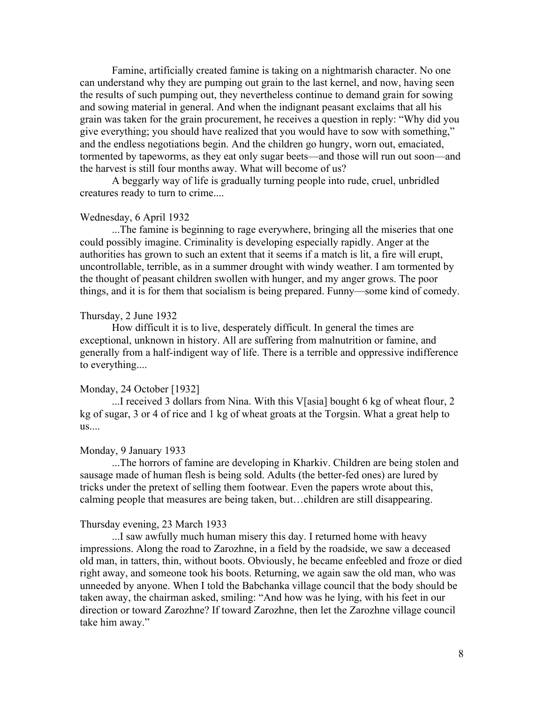Famine, artificially created famine is taking on a nightmarish character. No one can understand why they are pumping out grain to the last kernel, and now, having seen the results of such pumping out, they nevertheless continue to demand grain for sowing and sowing material in general. And when the indignant peasant exclaims that all his grain was taken for the grain procurement, he receives a question in reply: "Why did you give everything; you should have realized that you would have to sow with something," and the endless negotiations begin. And the children go hungry, worn out, emaciated, tormented by tapeworms, as they eat only sugar beets—and those will run out soon—and the harvest is still four months away. What will become of us?

A beggarly way of life is gradually turning people into rude, cruel, unbridled creatures ready to turn to crime....

### Wednesday, 6 April 1932

...The famine is beginning to rage everywhere, bringing all the miseries that one could possibly imagine. Criminality is developing especially rapidly. Anger at the authorities has grown to such an extent that it seems if a match is lit, a fire will erupt, uncontrollable, terrible, as in a summer drought with windy weather. I am tormented by the thought of peasant children swollen with hunger, and my anger grows. The poor things, and it is for them that socialism is being prepared. Funny—some kind of comedy.

#### Thursday, 2 June 1932

How difficult it is to live, desperately difficult. In general the times are exceptional, unknown in history. All are suffering from malnutrition or famine, and generally from a half-indigent way of life. There is a terrible and oppressive indifference to everything....

#### Monday, 24 October [1932]

...I received 3 dollars from Nina. With this V[asia] bought 6 kg of wheat flour, 2 kg of sugar, 3 or 4 of rice and 1 kg of wheat groats at the Torgsin. What a great help to us....

#### Monday, 9 January 1933

...The horrors of famine are developing in Kharkiv. Children are being stolen and sausage made of human flesh is being sold. Adults (the better-fed ones) are lured by tricks under the pretext of selling them footwear. Even the papers wrote about this, calming people that measures are being taken, but…children are still disappearing.

#### Thursday evening, 23 March 1933

...I saw awfully much human misery this day. I returned home with heavy impressions. Along the road to Zarozhne, in a field by the roadside, we saw a deceased old man, in tatters, thin, without boots. Obviously, he became enfeebled and froze or died right away, and someone took his boots. Returning, we again saw the old man, who was unneeded by anyone. When I told the Babchanka village council that the body should be taken away, the chairman asked, smiling: "And how was he lying, with his feet in our direction or toward Zarozhne? If toward Zarozhne, then let the Zarozhne village council take him away."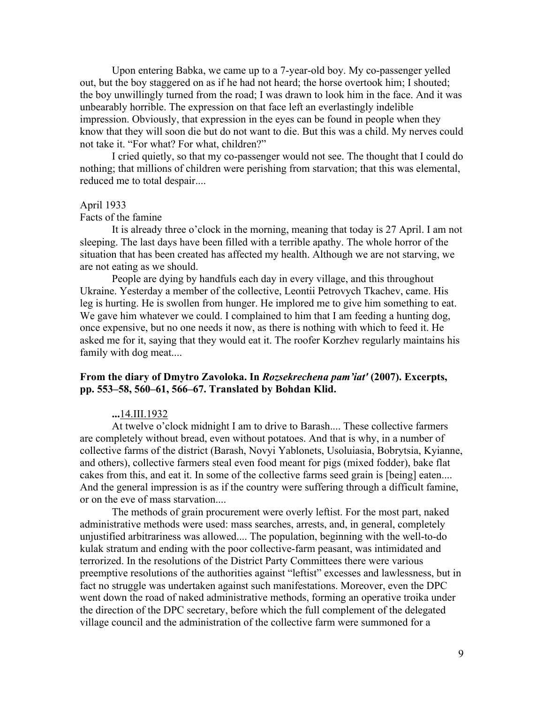Upon entering Babka, we came up to a 7-year-old boy. My co-passenger yelled out, but the boy staggered on as if he had not heard; the horse overtook him; I shouted; the boy unwillingly turned from the road; I was drawn to look him in the face. And it was unbearably horrible. The expression on that face left an everlastingly indelible impression. Obviously, that expression in the eyes can be found in people when they know that they will soon die but do not want to die. But this was a child. My nerves could not take it. "For what? For what, children?"

I cried quietly, so that my co-passenger would not see. The thought that I could do nothing; that millions of children were perishing from starvation; that this was elemental, reduced me to total despair....

## April 1933

## Facts of the famine

It is already three o'clock in the morning, meaning that today is 27 April. I am not sleeping. The last days have been filled with a terrible apathy. The whole horror of the situation that has been created has affected my health. Although we are not starving, we are not eating as we should.

People are dying by handfuls each day in every village, and this throughout Ukraine. Yesterday a member of the collective, Leontii Petrovych Tkachev, came. His leg is hurting. He is swollen from hunger. He implored me to give him something to eat. We gave him whatever we could. I complained to him that I am feeding a hunting dog, once expensive, but no one needs it now, as there is nothing with which to feed it. He asked me for it, saying that they would eat it. The roofer Korzhev regularly maintains his family with dog meat....

# **From the diary of Dmytro Zavoloka. In** *Rozsekrechena pam'iat'* **(2007). Excerpts, pp. 553–58, 560–61, 566–67. Translated by Bohdan Klid.**

#### **...**14.III.1932

At twelve o'clock midnight I am to drive to Barash.... These collective farmers are completely without bread, even without potatoes. And that is why, in a number of collective farms of the district (Barash, Novyi Yablonets, Usoluiasia, Bobrytsia, Kyianne, and others), collective farmers steal even food meant for pigs (mixed fodder), bake flat cakes from this, and eat it. In some of the collective farms seed grain is [being] eaten.... And the general impression is as if the country were suffering through a difficult famine, or on the eve of mass starvation....

The methods of grain procurement were overly leftist. For the most part, naked administrative methods were used: mass searches, arrests, and, in general, completely unjustified arbitrariness was allowed.... The population, beginning with the well-to-do kulak stratum and ending with the poor collective-farm peasant, was intimidated and terrorized. In the resolutions of the District Party Committees there were various preemptive resolutions of the authorities against "leftist" excesses and lawlessness, but in fact no struggle was undertaken against such manifestations. Moreover, even the DPC went down the road of naked administrative methods, forming an operative troika under the direction of the DPC secretary, before which the full complement of the delegated village council and the administration of the collective farm were summoned for a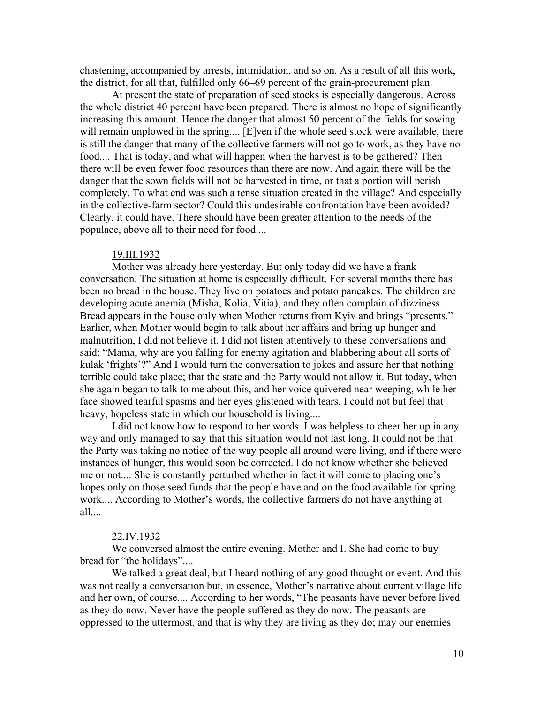chastening, accompanied by arrests, intimidation, and so on. As a result of all this work, the district, for all that, fulfilled only 66–69 percent of the grain-procurement plan.

At present the state of preparation of seed stocks is especially dangerous. Across the whole district 40 percent have been prepared. There is almost no hope of significantly increasing this amount. Hence the danger that almost 50 percent of the fields for sowing will remain unplowed in the spring.... [E]ven if the whole seed stock were available, there is still the danger that many of the collective farmers will not go to work, as they have no food.... That is today, and what will happen when the harvest is to be gathered? Then there will be even fewer food resources than there are now. And again there will be the danger that the sown fields will not be harvested in time, or that a portion will perish completely. To what end was such a tense situation created in the village? And especially in the collective-farm sector? Could this undesirable confrontation have been avoided? Clearly, it could have. There should have been greater attention to the needs of the populace, above all to their need for food....

### 19.III.1932

Mother was already here yesterday. But only today did we have a frank conversation. The situation at home is especially difficult. For several months there has been no bread in the house. They live on potatoes and potato pancakes. The children are developing acute anemia (Misha, Kolia, Vitia), and they often complain of dizziness. Bread appears in the house only when Mother returns from Kyiv and brings "presents." Earlier, when Mother would begin to talk about her affairs and bring up hunger and malnutrition, I did not believe it. I did not listen attentively to these conversations and said: "Mama, why are you falling for enemy agitation and blabbering about all sorts of kulak 'frights'?" And I would turn the conversation to jokes and assure her that nothing terrible could take place; that the state and the Party would not allow it. But today, when she again began to talk to me about this, and her voice quivered near weeping, while her face showed tearful spasms and her eyes glistened with tears, I could not but feel that heavy, hopeless state in which our household is living....

I did not know how to respond to her words. I was helpless to cheer her up in any way and only managed to say that this situation would not last long. It could not be that the Party was taking no notice of the way people all around were living, and if there were instances of hunger, this would soon be corrected. I do not know whether she believed me or not.... She is constantly perturbed whether in fact it will come to placing one's hopes only on those seed funds that the people have and on the food available for spring work.... According to Mother's words, the collective farmers do not have anything at all....

#### 22.IV.1932

We conversed almost the entire evening. Mother and I. She had come to buy bread for "the holidays"....

We talked a great deal, but I heard nothing of any good thought or event. And this was not really a conversation but, in essence, Mother's narrative about current village life and her own, of course.... According to her words, "The peasants have never before lived as they do now. Never have the people suffered as they do now. The peasants are oppressed to the uttermost, and that is why they are living as they do; may our enemies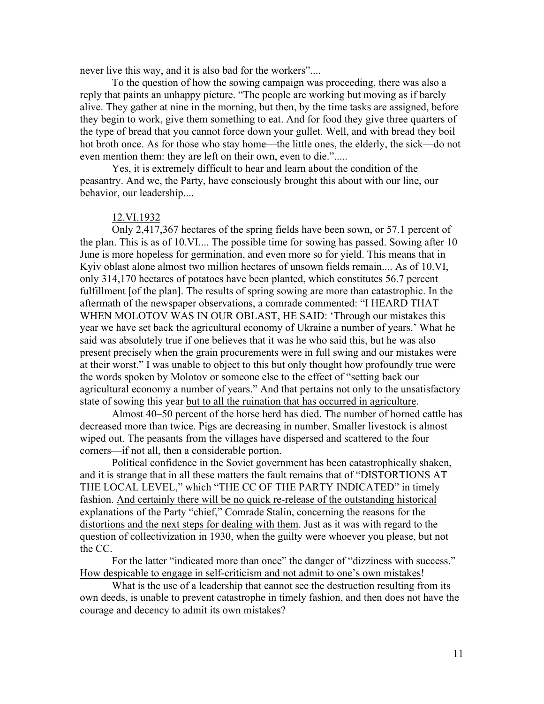never live this way, and it is also bad for the workers"....

To the question of how the sowing campaign was proceeding, there was also a reply that paints an unhappy picture. "The people are working but moving as if barely alive. They gather at nine in the morning, but then, by the time tasks are assigned, before they begin to work, give them something to eat. And for food they give three quarters of the type of bread that you cannot force down your gullet. Well, and with bread they boil hot broth once. As for those who stay home—the little ones, the elderly, the sick—do not even mention them: they are left on their own, even to die.".....

Yes, it is extremely difficult to hear and learn about the condition of the peasantry. And we, the Party, have consciously brought this about with our line, our behavior, our leadership....

#### 12.VI.1932

Only 2,417,367 hectares of the spring fields have been sown, or 57.1 percent of the plan. This is as of 10.VI.... The possible time for sowing has passed. Sowing after 10 June is more hopeless for germination, and even more so for yield. This means that in Kyiv oblast alone almost two million hectares of unsown fields remain.... As of 10.VI, only 314,170 hectares of potatoes have been planted, which constitutes 56.7 percent fulfillment [of the plan]. The results of spring sowing are more than catastrophic. In the aftermath of the newspaper observations, a comrade commented: "I HEARD THAT WHEN MOLOTOV WAS IN OUR OBLAST, HE SAID: 'Through our mistakes this year we have set back the agricultural economy of Ukraine a number of years.' What he said was absolutely true if one believes that it was he who said this, but he was also present precisely when the grain procurements were in full swing and our mistakes were at their worst." I was unable to object to this but only thought how profoundly true were the words spoken by Molotov or someone else to the effect of "setting back our agricultural economy a number of years." And that pertains not only to the unsatisfactory state of sowing this year but to all the ruination that has occurred in agriculture.

Almost 40–50 percent of the horse herd has died. The number of horned cattle has decreased more than twice. Pigs are decreasing in number. Smaller livestock is almost wiped out. The peasants from the villages have dispersed and scattered to the four corners—if not all, then a considerable portion.

Political confidence in the Soviet government has been catastrophically shaken, and it is strange that in all these matters the fault remains that of "DISTORTIONS AT THE LOCAL LEVEL," which "THE CC OF THE PARTY INDICATED" in timely fashion. And certainly there will be no quick re-release of the outstanding historical explanations of the Party "chief," Comrade Stalin, concerning the reasons for the distortions and the next steps for dealing with them. Just as it was with regard to the question of collectivization in 1930, when the guilty were whoever you please, but not the CC.

For the latter "indicated more than once" the danger of "dizziness with success." How despicable to engage in self-criticism and not admit to one's own mistakes!

What is the use of a leadership that cannot see the destruction resulting from its own deeds, is unable to prevent catastrophe in timely fashion, and then does not have the courage and decency to admit its own mistakes?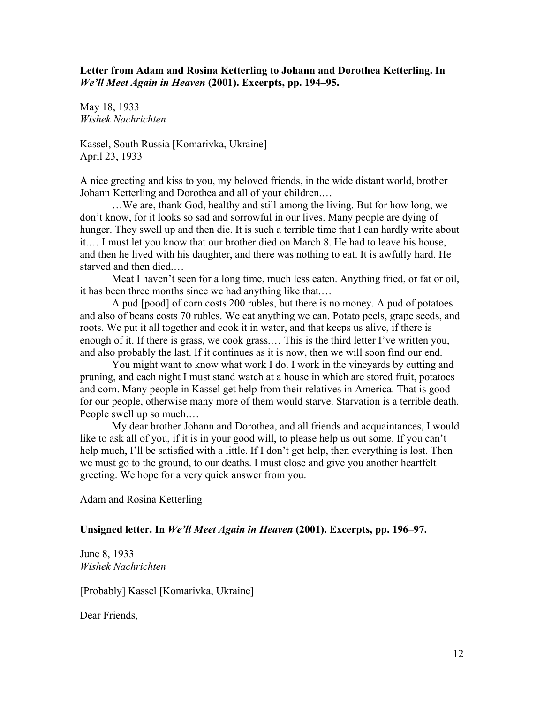## **Letter from Adam and Rosina Ketterling to Johann and Dorothea Ketterling. In** *We'll Meet Again in Heaven* **(2001). Excerpts, pp. 194–95.**

May 18, 1933 *Wishek Nachrichten*

Kassel, South Russia [Komarivka, Ukraine] April 23, 1933

A nice greeting and kiss to you, my beloved friends, in the wide distant world, brother Johann Ketterling and Dorothea and all of your children.…

…We are, thank God, healthy and still among the living. But for how long, we don't know, for it looks so sad and sorrowful in our lives. Many people are dying of hunger. They swell up and then die. It is such a terrible time that I can hardly write about it.… I must let you know that our brother died on March 8. He had to leave his house, and then he lived with his daughter, and there was nothing to eat. It is awfully hard. He starved and then died.…

Meat I haven't seen for a long time, much less eaten. Anything fried, or fat or oil, it has been three months since we had anything like that.…

A pud [pood] of corn costs 200 rubles, but there is no money. A pud of potatoes and also of beans costs 70 rubles. We eat anything we can. Potato peels, grape seeds, and roots. We put it all together and cook it in water, and that keeps us alive, if there is enough of it. If there is grass, we cook grass.… This is the third letter I've written you, and also probably the last. If it continues as it is now, then we will soon find our end.

You might want to know what work I do. I work in the vineyards by cutting and pruning, and each night I must stand watch at a house in which are stored fruit, potatoes and corn. Many people in Kassel get help from their relatives in America. That is good for our people, otherwise many more of them would starve. Starvation is a terrible death. People swell up so much.…

My dear brother Johann and Dorothea, and all friends and acquaintances, I would like to ask all of you, if it is in your good will, to please help us out some. If you can't help much, I'll be satisfied with a little. If I don't get help, then everything is lost. Then we must go to the ground, to our deaths. I must close and give you another heartfelt greeting. We hope for a very quick answer from you.

Adam and Rosina Ketterling

## **Unsigned letter. In** *We'll Meet Again in Heaven* **(2001). Excerpts, pp. 196–97.**

June 8, 1933 *Wishek Nachrichten*

[Probably] Kassel [Komarivka, Ukraine]

Dear Friends,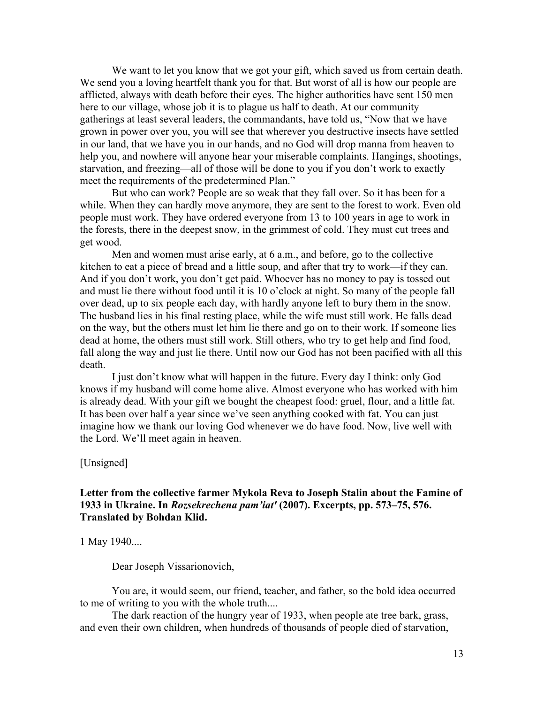We want to let you know that we got your gift, which saved us from certain death. We send you a loving heartfelt thank you for that. But worst of all is how our people are afflicted, always with death before their eyes. The higher authorities have sent 150 men here to our village, whose job it is to plague us half to death. At our community gatherings at least several leaders, the commandants, have told us, "Now that we have grown in power over you, you will see that wherever you destructive insects have settled in our land, that we have you in our hands, and no God will drop manna from heaven to help you, and nowhere will anyone hear your miserable complaints. Hangings, shootings, starvation, and freezing—all of those will be done to you if you don't work to exactly meet the requirements of the predetermined Plan."

But who can work? People are so weak that they fall over. So it has been for a while. When they can hardly move anymore, they are sent to the forest to work. Even old people must work. They have ordered everyone from 13 to 100 years in age to work in the forests, there in the deepest snow, in the grimmest of cold. They must cut trees and get wood.

Men and women must arise early, at 6 a.m., and before, go to the collective kitchen to eat a piece of bread and a little soup, and after that try to work—if they can. And if you don't work, you don't get paid. Whoever has no money to pay is tossed out and must lie there without food until it is 10 o'clock at night. So many of the people fall over dead, up to six people each day, with hardly anyone left to bury them in the snow. The husband lies in his final resting place, while the wife must still work. He falls dead on the way, but the others must let him lie there and go on to their work. If someone lies dead at home, the others must still work. Still others, who try to get help and find food, fall along the way and just lie there. Until now our God has not been pacified with all this death.

I just don't know what will happen in the future. Every day I think: only God knows if my husband will come home alive. Almost everyone who has worked with him is already dead. With your gift we bought the cheapest food: gruel, flour, and a little fat. It has been over half a year since we've seen anything cooked with fat. You can just imagine how we thank our loving God whenever we do have food. Now, live well with the Lord. We'll meet again in heaven.

### [Unsigned]

# **Letter from the collective farmer Mykola Reva to Joseph Stalin about the Famine of 1933 in Ukraine. In** *Rozsekrechena pam'iat'* **(2007). Excerpts, pp. 573–75, 576. Translated by Bohdan Klid.**

1 May 1940....

Dear Joseph Vissarionovich,

You are, it would seem, our friend, teacher, and father, so the bold idea occurred to me of writing to you with the whole truth....

The dark reaction of the hungry year of 1933, when people ate tree bark, grass, and even their own children, when hundreds of thousands of people died of starvation,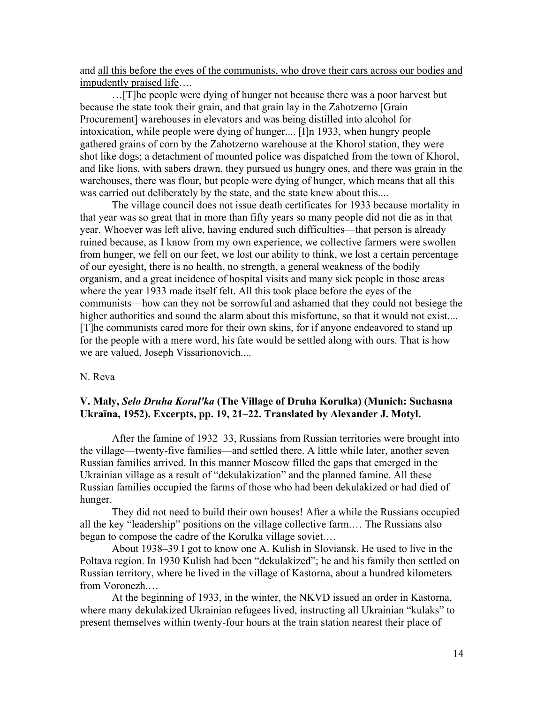and all this before the eyes of the communists, who drove their cars across our bodies and impudently praised life….

…[T]he people were dying of hunger not because there was a poor harvest but because the state took their grain, and that grain lay in the Zahotzerno [Grain Procurement] warehouses in elevators and was being distilled into alcohol for intoxication, while people were dying of hunger.... [I]n 1933, when hungry people gathered grains of corn by the Zahotzerno warehouse at the Khorol station, they were shot like dogs; a detachment of mounted police was dispatched from the town of Khorol, and like lions, with sabers drawn, they pursued us hungry ones, and there was grain in the warehouses, there was flour, but people were dying of hunger, which means that all this was carried out deliberately by the state, and the state knew about this....

The village council does not issue death certificates for 1933 because mortality in that year was so great that in more than fifty years so many people did not die as in that year. Whoever was left alive, having endured such difficulties—that person is already ruined because, as I know from my own experience, we collective farmers were swollen from hunger, we fell on our feet, we lost our ability to think, we lost a certain percentage of our eyesight, there is no health, no strength, a general weakness of the bodily organism, and a great incidence of hospital visits and many sick people in those areas where the year 1933 made itself felt. All this took place before the eyes of the communists—how can they not be sorrowful and ashamed that they could not besiege the higher authorities and sound the alarm about this misfortune, so that it would not exist.... [T]he communists cared more for their own skins, for if anyone endeavored to stand up for the people with a mere word, his fate would be settled along with ours. That is how we are valued, Joseph Vissarionovich....

## N. Reva

# **V. Maly,** *Selo Druha Korul'ka* **(The Village of Druha Korulka) (Munich: Suchasna Ukraїna, 1952). Excerpts, pp. 19, 21–22. Translated by Alexander J. Motyl.**

After the famine of 1932–33, Russians from Russian territories were brought into the village—twenty-five families—and settled there. A little while later, another seven Russian families arrived. In this manner Moscow filled the gaps that emerged in the Ukrainian village as a result of "dekulakization" and the planned famine. All these Russian families occupied the farms of those who had been dekulakized or had died of hunger.

They did not need to build their own houses! After a while the Russians occupied all the key "leadership" positions on the village collective farm.… The Russians also began to compose the cadre of the Korulka village soviet.…

About 1938–39 I got to know one A. Kulish in Sloviansk. He used to live in the Poltava region. In 1930 Kulish had been "dekulakized"; he and his family then settled on Russian territory, where he lived in the village of Kastorna, about a hundred kilometers from Voronezh.…

At the beginning of 1933, in the winter, the NKVD issued an order in Kastorna, where many dekulakized Ukrainian refugees lived, instructing all Ukrainian "kulaks" to present themselves within twenty-four hours at the train station nearest their place of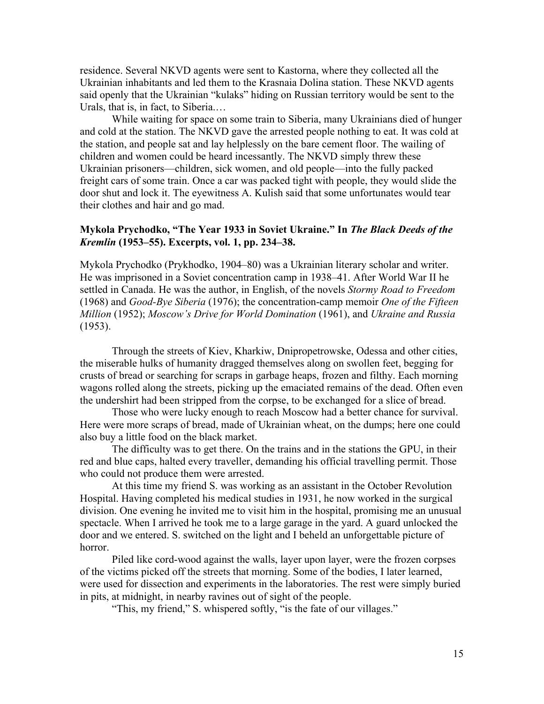residence. Several NKVD agents were sent to Kastorna, where they collected all the Ukrainian inhabitants and led them to the Krasnaia Dolina station. These NKVD agents said openly that the Ukrainian "kulaks" hiding on Russian territory would be sent to the Urals, that is, in fact, to Siberia.…

While waiting for space on some train to Siberia, many Ukrainians died of hunger and cold at the station. The NKVD gave the arrested people nothing to eat. It was cold at the station, and people sat and lay helplessly on the bare cement floor. The wailing of children and women could be heard incessantly. The NKVD simply threw these Ukrainian prisoners—children, sick women, and old people—into the fully packed freight cars of some train. Once a car was packed tight with people, they would slide the door shut and lock it. The eyewitness A. Kulish said that some unfortunates would tear their clothes and hair and go mad.

# **Mykola Prychodko, "The Year 1933 in Soviet Ukraine." In** *The Black Deeds of the Kremlin* **(1953–55). Excerpts, vol. 1, pp. 234–38.**

Mykola Prychodko (Prykhodko, 1904–80) was a Ukrainian literary scholar and writer. He was imprisoned in a Soviet concentration camp in 1938–41. After World War II he settled in Canada. He was the author, in English, of the novels *Stormy Road to Freedom* (1968) and *Good-Bye Siberia* (1976); the concentration-camp memoir *One of the Fifteen Million* (1952); *Moscow's Drive for World Domination* (1961), and *Ukraine and Russia* (1953).

Through the streets of Kiev, Kharkiw, Dnipropetrowske, Odessa and other cities, the miserable hulks of humanity dragged themselves along on swollen feet, begging for crusts of bread or searching for scraps in garbage heaps, frozen and filthy. Each morning wagons rolled along the streets, picking up the emaciated remains of the dead. Often even the undershirt had been stripped from the corpse, to be exchanged for a slice of bread.

Those who were lucky enough to reach Moscow had a better chance for survival. Here were more scraps of bread, made of Ukrainian wheat, on the dumps; here one could also buy a little food on the black market.

The difficulty was to get there. On the trains and in the stations the GPU, in their red and blue caps, halted every traveller, demanding his official travelling permit. Those who could not produce them were arrested.

At this time my friend S. was working as an assistant in the October Revolution Hospital. Having completed his medical studies in 1931, he now worked in the surgical division. One evening he invited me to visit him in the hospital, promising me an unusual spectacle. When I arrived he took me to a large garage in the yard. A guard unlocked the door and we entered. S. switched on the light and I beheld an unforgettable picture of horror.

Piled like cord-wood against the walls, layer upon layer, were the frozen corpses of the victims picked off the streets that morning. Some of the bodies, I later learned, were used for dissection and experiments in the laboratories. The rest were simply buried in pits, at midnight, in nearby ravines out of sight of the people.

"This, my friend," S. whispered softly, "is the fate of our villages."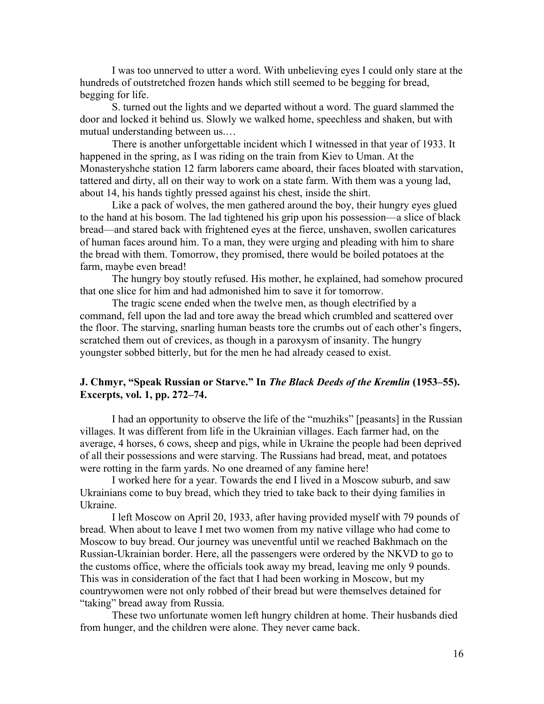I was too unnerved to utter a word. With unbelieving eyes I could only stare at the hundreds of outstretched frozen hands which still seemed to be begging for bread, begging for life.

S. turned out the lights and we departed without a word. The guard slammed the door and locked it behind us. Slowly we walked home, speechless and shaken, but with mutual understanding between us.…

There is another unforgettable incident which I witnessed in that year of 1933. It happened in the spring, as I was riding on the train from Kiev to Uman. At the Monasteryshche station 12 farm laborers came aboard, their faces bloated with starvation, tattered and dirty, all on their way to work on a state farm. With them was a young lad, about 14, his hands tightly pressed against his chest, inside the shirt.

Like a pack of wolves, the men gathered around the boy, their hungry eyes glued to the hand at his bosom. The lad tightened his grip upon his possession—a slice of black bread—and stared back with frightened eyes at the fierce, unshaven, swollen caricatures of human faces around him. To a man, they were urging and pleading with him to share the bread with them. Tomorrow, they promised, there would be boiled potatoes at the farm, maybe even bread!

The hungry boy stoutly refused. His mother, he explained, had somehow procured that one slice for him and had admonished him to save it for tomorrow.

The tragic scene ended when the twelve men, as though electrified by a command, fell upon the lad and tore away the bread which crumbled and scattered over the floor. The starving, snarling human beasts tore the crumbs out of each other's fingers, scratched them out of crevices, as though in a paroxysm of insanity. The hungry youngster sobbed bitterly, but for the men he had already ceased to exist.

# **J. Chmyr, "Speak Russian or Starve." In** *The Black Deeds of the Kremlin* **(1953–55). Excerpts, vol. 1, pp. 272–74.**

I had an opportunity to observe the life of the "muzhiks" [peasants] in the Russian villages. It was different from life in the Ukrainian villages. Each farmer had, on the average, 4 horses, 6 cows, sheep and pigs, while in Ukraine the people had been deprived of all their possessions and were starving. The Russians had bread, meat, and potatoes were rotting in the farm yards. No one dreamed of any famine here!

I worked here for a year. Towards the end I lived in a Moscow suburb, and saw Ukrainians come to buy bread, which they tried to take back to their dying families in Ukraine.

I left Moscow on April 20, 1933, after having provided myself with 79 pounds of bread. When about to leave I met two women from my native village who had come to Moscow to buy bread. Our journey was uneventful until we reached Bakhmach on the Russian-Ukrainian border. Here, all the passengers were ordered by the NKVD to go to the customs office, where the officials took away my bread, leaving me only 9 pounds. This was in consideration of the fact that I had been working in Moscow, but my countrywomen were not only robbed of their bread but were themselves detained for "taking" bread away from Russia.

These two unfortunate women left hungry children at home. Their husbands died from hunger, and the children were alone. They never came back.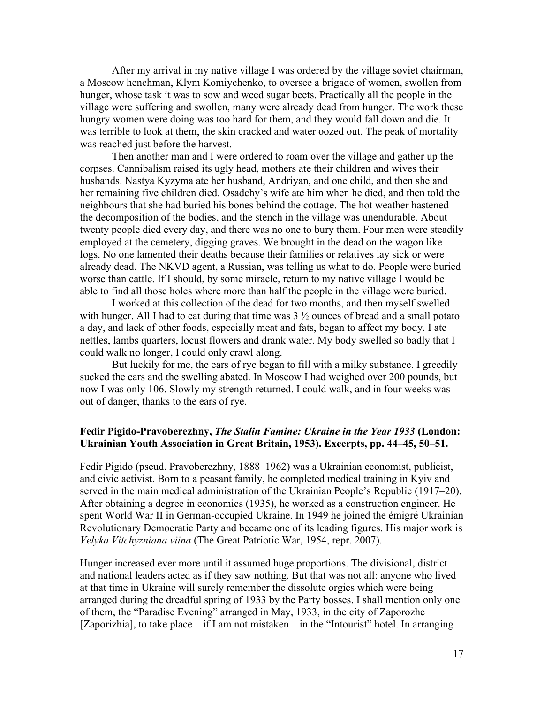After my arrival in my native village I was ordered by the village soviet chairman, a Moscow henchman, Klym Komiychenko, to oversee a brigade of women, swollen from hunger, whose task it was to sow and weed sugar beets. Practically all the people in the village were suffering and swollen, many were already dead from hunger. The work these hungry women were doing was too hard for them, and they would fall down and die. It was terrible to look at them, the skin cracked and water oozed out. The peak of mortality was reached just before the harvest.

Then another man and I were ordered to roam over the village and gather up the corpses. Cannibalism raised its ugly head, mothers ate their children and wives their husbands. Nastya Kyzyma ate her husband, Andriyan, and one child, and then she and her remaining five children died. Osadchy's wife ate him when he died, and then told the neighbours that she had buried his bones behind the cottage. The hot weather hastened the decomposition of the bodies, and the stench in the village was unendurable. About twenty people died every day, and there was no one to bury them. Four men were steadily employed at the cemetery, digging graves. We brought in the dead on the wagon like logs. No one lamented their deaths because their families or relatives lay sick or were already dead. The NKVD agent, a Russian, was telling us what to do. People were buried worse than cattle. If I should, by some miracle, return to my native village I would be able to find all those holes where more than half the people in the village were buried.

I worked at this collection of the dead for two months, and then myself swelled with hunger. All I had to eat during that time was  $3\frac{1}{2}$  ounces of bread and a small potato a day, and lack of other foods, especially meat and fats, began to affect my body. I ate nettles, lambs quarters, locust flowers and drank water. My body swelled so badly that I could walk no longer, I could only crawl along.

But luckily for me, the ears of rye began to fill with a milky substance. I greedily sucked the ears and the swelling abated. In Moscow I had weighed over 200 pounds, but now I was only 106. Slowly my strength returned. I could walk, and in four weeks was out of danger, thanks to the ears of rye.

# **Fedir Pigido-Pravoberezhny,** *The Stalin Famine: Ukraine in the Year 1933* **(London: Ukrainian Youth Association in Great Britain, 1953). Excerpts, pp. 44–45, 50–51.**

Fedir Pigido (pseud. Pravoberezhny, 1888–1962) was a Ukrainian economist, publicist, and civic activist. Born to a peasant family, he completed medical training in Kyiv and served in the main medical administration of the Ukrainian People's Republic (1917–20). After obtaining a degree in economics (1935), he worked as a construction engineer. He spent World War II in German-occupied Ukraine. In 1949 he joined the émigré Ukrainian Revolutionary Democratic Party and became one of its leading figures. His major work is *Velyka Vitchyzniana viina* (The Great Patriotic War, 1954, repr. 2007).

Hunger increased ever more until it assumed huge proportions. The divisional, district and national leaders acted as if they saw nothing. But that was not all: anyone who lived at that time in Ukraine will surely remember the dissolute orgies which were being arranged during the dreadful spring of 1933 by the Party bosses. I shall mention only one of them, the "Paradise Evening" arranged in May, 1933, in the city of Zaporozhe [Zaporizhia], to take place—if I am not mistaken—in the "Intourist" hotel. In arranging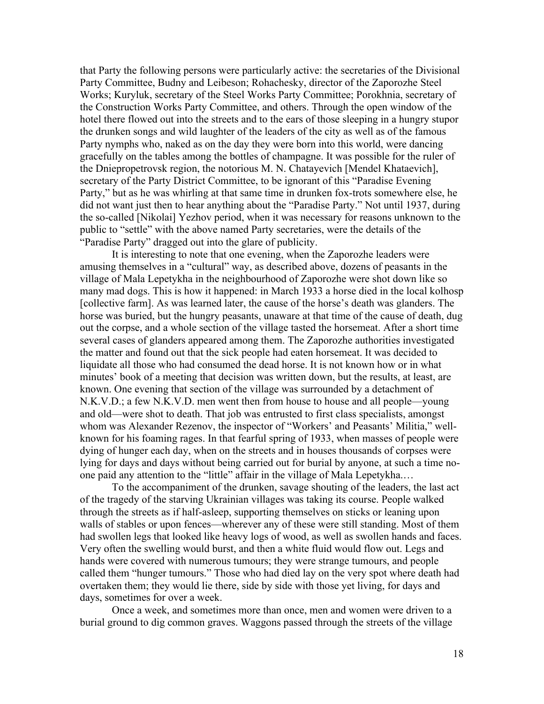that Party the following persons were particularly active: the secretaries of the Divisional Party Committee, Budny and Leibeson; Rohachesky, director of the Zaporozhe Steel Works; Kuryluk, secretary of the Steel Works Party Committee; Porokhnia, secretary of the Construction Works Party Committee, and others. Through the open window of the hotel there flowed out into the streets and to the ears of those sleeping in a hungry stupor the drunken songs and wild laughter of the leaders of the city as well as of the famous Party nymphs who, naked as on the day they were born into this world, were dancing gracefully on the tables among the bottles of champagne. It was possible for the ruler of the Dniepropetrovsk region, the notorious M. N. Chatayevich [Mendel Khataevich], secretary of the Party District Committee, to be ignorant of this "Paradise Evening Party," but as he was whirling at that same time in drunken fox-trots somewhere else, he did not want just then to hear anything about the "Paradise Party." Not until 1937, during the so-called [Nikolai] Yezhov period, when it was necessary for reasons unknown to the public to "settle" with the above named Party secretaries, were the details of the "Paradise Party" dragged out into the glare of publicity.

It is interesting to note that one evening, when the Zaporozhe leaders were amusing themselves in a "cultural" way, as described above, dozens of peasants in the village of Mala Lepetykha in the neighbourhood of Zaporozhe were shot down like so many mad dogs. This is how it happened: in March 1933 a horse died in the local kolhosp [collective farm]. As was learned later, the cause of the horse's death was glanders. The horse was buried, but the hungry peasants, unaware at that time of the cause of death, dug out the corpse, and a whole section of the village tasted the horsemeat. After a short time several cases of glanders appeared among them. The Zaporozhe authorities investigated the matter and found out that the sick people had eaten horsemeat. It was decided to liquidate all those who had consumed the dead horse. It is not known how or in what minutes' book of a meeting that decision was written down, but the results, at least, are known. One evening that section of the village was surrounded by a detachment of N.K.V.D.; a few N.K.V.D. men went then from house to house and all people—young and old—were shot to death. That job was entrusted to first class specialists, amongst whom was Alexander Rezenov, the inspector of "Workers' and Peasants' Militia," wellknown for his foaming rages. In that fearful spring of 1933, when masses of people were dying of hunger each day, when on the streets and in houses thousands of corpses were lying for days and days without being carried out for burial by anyone, at such a time noone paid any attention to the "little" affair in the village of Mala Lepetykha.…

To the accompaniment of the drunken, savage shouting of the leaders, the last act of the tragedy of the starving Ukrainian villages was taking its course. People walked through the streets as if half-asleep, supporting themselves on sticks or leaning upon walls of stables or upon fences—wherever any of these were still standing. Most of them had swollen legs that looked like heavy logs of wood, as well as swollen hands and faces. Very often the swelling would burst, and then a white fluid would flow out. Legs and hands were covered with numerous tumours; they were strange tumours, and people called them "hunger tumours." Those who had died lay on the very spot where death had overtaken them; they would lie there, side by side with those yet living, for days and days, sometimes for over a week.

Once a week, and sometimes more than once, men and women were driven to a burial ground to dig common graves. Waggons passed through the streets of the village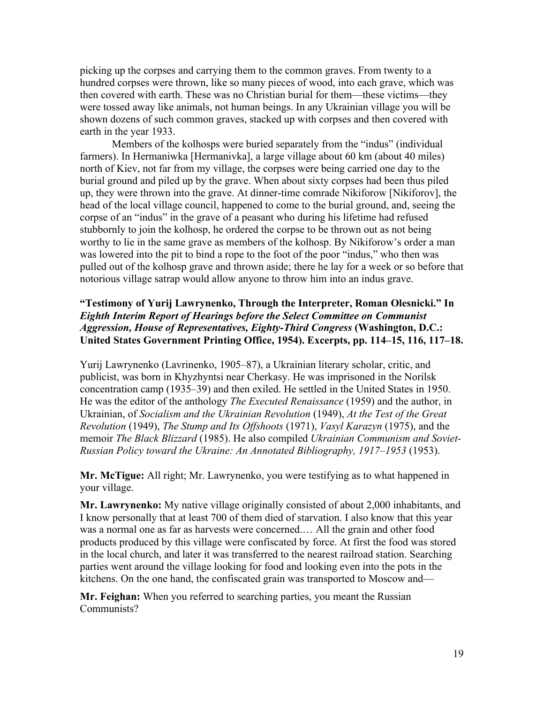picking up the corpses and carrying them to the common graves. From twenty to a hundred corpses were thrown, like so many pieces of wood, into each grave, which was then covered with earth. These was no Christian burial for them—these victims—they were tossed away like animals, not human beings. In any Ukrainian village you will be shown dozens of such common graves, stacked up with corpses and then covered with earth in the year 1933.

Members of the kolhosps were buried separately from the "indus" (individual farmers). In Hermaniwka [Hermanivka], a large village about 60 km (about 40 miles) north of Kiev, not far from my village, the corpses were being carried one day to the burial ground and piled up by the grave. When about sixty corpses had been thus piled up, they were thrown into the grave. At dinner-time comrade Nikiforow [Nikiforov], the head of the local village council, happened to come to the burial ground, and, seeing the corpse of an "indus" in the grave of a peasant who during his lifetime had refused stubbornly to join the kolhosp, he ordered the corpse to be thrown out as not being worthy to lie in the same grave as members of the kolhosp. By Nikiforow's order a man was lowered into the pit to bind a rope to the foot of the poor "indus," who then was pulled out of the kolhosp grave and thrown aside; there he lay for a week or so before that notorious village satrap would allow anyone to throw him into an indus grave.

# **"Testimony of Yurij Lawrynenko, Through the Interpreter, Roman Olesnicki." In**  *Eighth Interim Report of Hearings before the Select Committee on Communist Aggression, House of Representatives, Eighty-Third Congress* **(Washington, D.C.: United States Government Printing Office, 1954). Excerpts, pp. 114–15, 116, 117–18.**

Yurij Lawrynenko (Lavrinenko, 1905–87), a Ukrainian literary scholar, critic, and publicist, was born in Khyzhyntsi near Cherkasy. He was imprisoned in the Norilsk concentration camp (1935–39) and then exiled. He settled in the United States in 1950. He was the editor of the anthology *The Executed Renaissance* (1959) and the author, in Ukrainian, of *Socialism and the Ukrainian Revolution* (1949), *At the Test of the Great Revolution* (1949), *The Stump and Its Offshoots* (1971), *Vasyl Karazyn* (1975), and the memoir *The Black Blizzard* (1985). He also compiled *Ukrainian Communism and Soviet-Russian Policy toward the Ukraine: An Annotated Bibliography, 1917–1953* (1953).

**Mr. McTigue:** All right; Mr. Lawrynenko, you were testifying as to what happened in your village.

**Mr. Lawrynenko:** My native village originally consisted of about 2,000 inhabitants, and I know personally that at least 700 of them died of starvation. I also know that this year was a normal one as far as harvests were concerned.… All the grain and other food products produced by this village were confiscated by force. At first the food was stored in the local church, and later it was transferred to the nearest railroad station. Searching parties went around the village looking for food and looking even into the pots in the kitchens. On the one hand, the confiscated grain was transported to Moscow and—

**Mr. Feighan:** When you referred to searching parties, you meant the Russian Communists?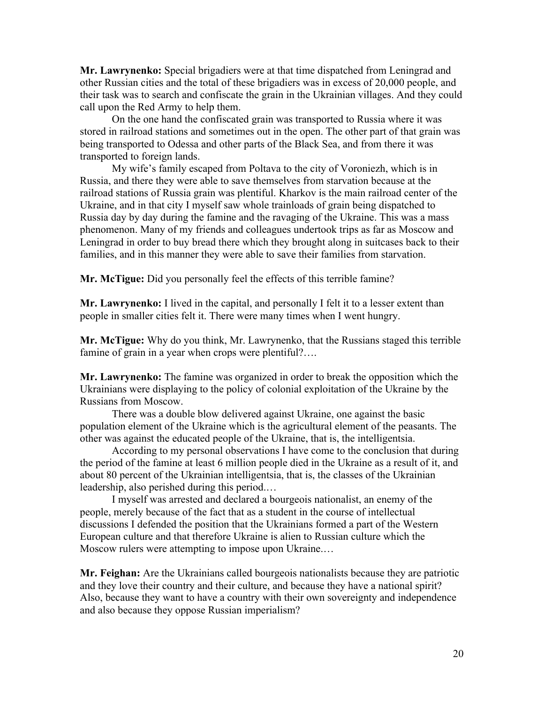**Mr. Lawrynenko:** Special brigadiers were at that time dispatched from Leningrad and other Russian cities and the total of these brigadiers was in excess of 20,000 people, and their task was to search and confiscate the grain in the Ukrainian villages. And they could call upon the Red Army to help them.

On the one hand the confiscated grain was transported to Russia where it was stored in railroad stations and sometimes out in the open. The other part of that grain was being transported to Odessa and other parts of the Black Sea, and from there it was transported to foreign lands.

My wife's family escaped from Poltava to the city of Voroniezh, which is in Russia, and there they were able to save themselves from starvation because at the railroad stations of Russia grain was plentiful. Kharkov is the main railroad center of the Ukraine, and in that city I myself saw whole trainloads of grain being dispatched to Russia day by day during the famine and the ravaging of the Ukraine. This was a mass phenomenon. Many of my friends and colleagues undertook trips as far as Moscow and Leningrad in order to buy bread there which they brought along in suitcases back to their families, and in this manner they were able to save their families from starvation.

**Mr. McTigue:** Did you personally feel the effects of this terrible famine?

**Mr. Lawrynenko:** I lived in the capital, and personally I felt it to a lesser extent than people in smaller cities felt it. There were many times when I went hungry.

**Mr. McTigue:** Why do you think, Mr. Lawrynenko, that the Russians staged this terrible famine of grain in a year when crops were plentiful?....

**Mr. Lawrynenko:** The famine was organized in order to break the opposition which the Ukrainians were displaying to the policy of colonial exploitation of the Ukraine by the Russians from Moscow.

There was a double blow delivered against Ukraine, one against the basic population element of the Ukraine which is the agricultural element of the peasants. The other was against the educated people of the Ukraine, that is, the intelligentsia.

According to my personal observations I have come to the conclusion that during the period of the famine at least 6 million people died in the Ukraine as a result of it, and about 80 percent of the Ukrainian intelligentsia, that is, the classes of the Ukrainian leadership, also perished during this period.…

I myself was arrested and declared a bourgeois nationalist, an enemy of the people, merely because of the fact that as a student in the course of intellectual discussions I defended the position that the Ukrainians formed a part of the Western European culture and that therefore Ukraine is alien to Russian culture which the Moscow rulers were attempting to impose upon Ukraine.…

**Mr. Feighan:** Are the Ukrainians called bourgeois nationalists because they are patriotic and they love their country and their culture, and because they have a national spirit? Also, because they want to have a country with their own sovereignty and independence and also because they oppose Russian imperialism?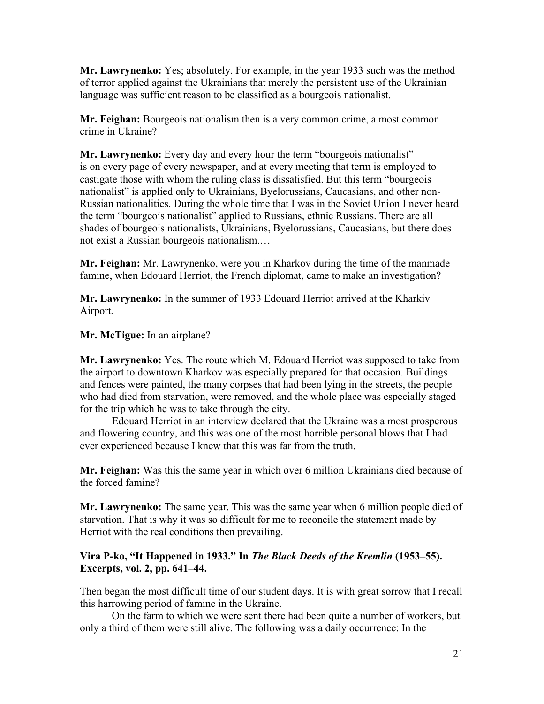**Mr. Lawrynenko:** Yes; absolutely. For example, in the year 1933 such was the method of terror applied against the Ukrainians that merely the persistent use of the Ukrainian language was sufficient reason to be classified as a bourgeois nationalist.

**Mr. Feighan:** Bourgeois nationalism then is a very common crime, a most common crime in Ukraine?

**Mr. Lawrynenko:** Every day and every hour the term "bourgeois nationalist" is on every page of every newspaper, and at every meeting that term is employed to castigate those with whom the ruling class is dissatisfied. But this term "bourgeois nationalist" is applied only to Ukrainians, Byelorussians, Caucasians, and other non-Russian nationalities. During the whole time that I was in the Soviet Union I never heard the term "bourgeois nationalist" applied to Russians, ethnic Russians. There are all shades of bourgeois nationalists, Ukrainians, Byelorussians, Caucasians, but there does not exist a Russian bourgeois nationalism.…

**Mr. Feighan:** Mr. Lawrynenko, were you in Kharkov during the time of the manmade famine, when Edouard Herriot, the French diplomat, came to make an investigation?

**Mr. Lawrynenko:** In the summer of 1933 Edouard Herriot arrived at the Kharkiv Airport.

**Mr. McTigue:** In an airplane?

**Mr. Lawrynenko:** Yes. The route which M. Edouard Herriot was supposed to take from the airport to downtown Kharkov was especially prepared for that occasion. Buildings and fences were painted, the many corpses that had been lying in the streets, the people who had died from starvation, were removed, and the whole place was especially staged for the trip which he was to take through the city.

Edouard Herriot in an interview declared that the Ukraine was a most prosperous and flowering country, and this was one of the most horrible personal blows that I had ever experienced because I knew that this was far from the truth.

**Mr. Feighan:** Was this the same year in which over 6 million Ukrainians died because of the forced famine?

**Mr. Lawrynenko:** The same year. This was the same year when 6 million people died of starvation. That is why it was so difficult for me to reconcile the statement made by Herriot with the real conditions then prevailing.

# **Vira P-ko, "It Happened in 1933." In** *The Black Deeds of the Kremlin* **(1953–55). Excerpts, vol. 2, pp. 641–44.**

Then began the most difficult time of our student days. It is with great sorrow that I recall this harrowing period of famine in the Ukraine.

On the farm to which we were sent there had been quite a number of workers, but only a third of them were still alive. The following was a daily occurrence: In the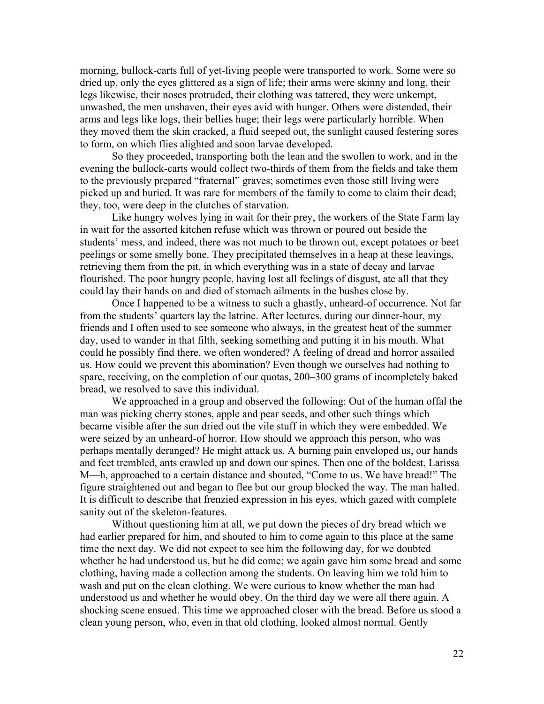morning, bullock-carts full of yet-living people were transported to work. Some were so dried up, only the eyes glittered as a sign of life; their arms were skinny and long, their legs likewise, their noses protruded, their clothing was tattered, they were unkempt, unwashed, the men unshaven, their eyes avid with hunger. Others were distended, their arms and legs like logs, their bellies huge; their legs were particularly horrible. When they moved them the skin cracked, a fluid seeped out, the sunlight caused festering sores to form, on which flies alighted and soon larvae developed.

So they proceeded, transporting both the lean and the swollen to work, and in the evening the bullock-carts would collect two-thirds of them from the fields and take them to the previously prepared "fraternal" graves; sometimes even those still living were picked up and buried. It was rare for members of the family to come to claim their dead; they, too, were deep in the clutches of starvation.

Like hungry wolves lying in wait for their prey, the workers of the State Farm lay in wait for the assorted kitchen refuse which was thrown or poured out beside the students' mess, and indeed, there was not much to be thrown out, except potatoes or beet peelings or some smelly bone. They precipitated themselves in a heap at these leavings, retrieving them from the pit, in which everything was in a state of decay and larvae flourished. The poor hungry people, having lost all feelings of disgust, ate all that they could lay their hands on and died of stomach ailments in the bushes close by.

Once I happened to be a witness to such a ghastly, unheard-of occurrence. Not far from the students' quarters lay the latrine. After lectures, during our dinner-hour, my friends and I often used to see someone who always, in the greatest heat of the summer day, used to wander in that filth, seeking something and putting it in his mouth. What could he possibly find there, we often wondered? A feeling of dread and horror assailed us. How could we prevent this abomination? Even though we ourselves had nothing to spare, receiving, on the completion of our quotas, 200–300 grams of incompletely baked bread, we resolved to save this individual.

We approached in a group and observed the following: Out of the human offal the man was picking cherry stones, apple and pear seeds, and other such things which became visible after the sun dried out the vile stuff in which they were embedded. We were seized by an unheard-of horror. How should we approach this person, who was perhaps mentally deranged? He might attack us. A burning pain enveloped us, our hands and feet trembled, ants crawled up and down our spines. Then one of the boldest, Larissa M—h, approached to a certain distance and shouted, "Come to us. We have bread!" The figure straightened out and began to flee but our group blocked the way. The man halted. It is difficult to describe that frenzied expression in his eyes, which gazed with complete sanity out of the skeleton-features.

Without questioning him at all, we put down the pieces of dry bread which we had earlier prepared for him, and shouted to him to come again to this place at the same time the next day. We did not expect to see him the following day, for we doubted whether he had understood us, but he did come; we again gave him some bread and some clothing, having made a collection among the students. On leaving him we told him to wash and put on the clean clothing. We were curious to know whether the man had understood us and whether he would obey. On the third day we were all there again. A shocking scene ensued. This time we approached closer with the bread. Before us stood a clean young person, who, even in that old clothing, looked almost normal. Gently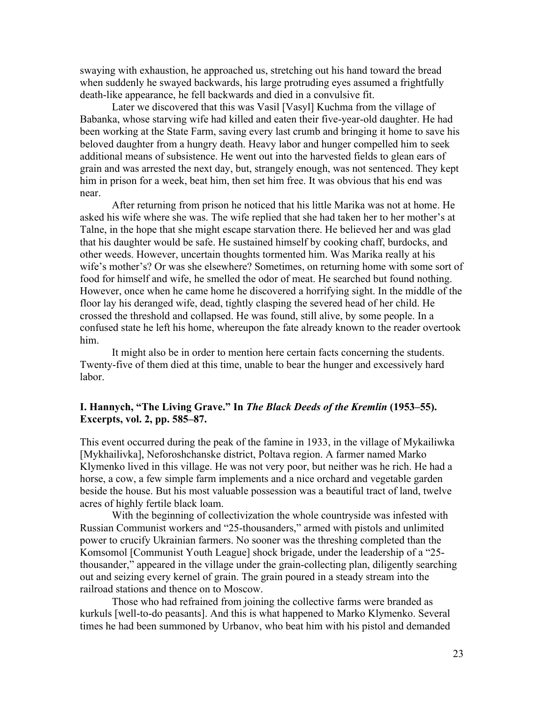swaying with exhaustion, he approached us, stretching out his hand toward the bread when suddenly he swayed backwards, his large protruding eyes assumed a frightfully death-like appearance, he fell backwards and died in a convulsive fit.

Later we discovered that this was Vasil [Vasyl] Kuchma from the village of Babanka, whose starving wife had killed and eaten their five-year-old daughter. He had been working at the State Farm, saving every last crumb and bringing it home to save his beloved daughter from a hungry death. Heavy labor and hunger compelled him to seek additional means of subsistence. He went out into the harvested fields to glean ears of grain and was arrested the next day, but, strangely enough, was not sentenced. They kept him in prison for a week, beat him, then set him free. It was obvious that his end was near.

After returning from prison he noticed that his little Marika was not at home. He asked his wife where she was. The wife replied that she had taken her to her mother's at Talne, in the hope that she might escape starvation there. He believed her and was glad that his daughter would be safe. He sustained himself by cooking chaff, burdocks, and other weeds. However, uncertain thoughts tormented him. Was Marika really at his wife's mother's? Or was she elsewhere? Sometimes, on returning home with some sort of food for himself and wife, he smelled the odor of meat. He searched but found nothing. However, once when he came home he discovered a horrifying sight. In the middle of the floor lay his deranged wife, dead, tightly clasping the severed head of her child. He crossed the threshold and collapsed. He was found, still alive, by some people. In a confused state he left his home, whereupon the fate already known to the reader overtook him.

It might also be in order to mention here certain facts concerning the students. Twenty-five of them died at this time, unable to bear the hunger and excessively hard labor.

# **I. Hannych, "The Living Grave." In** *The Black Deeds of the Kremlin* **(1953–55). Excerpts, vol. 2, pp. 585–87.**

This event occurred during the peak of the famine in 1933, in the village of Mykailiwka [Mykhailivka], Neforoshchanske district, Poltava region. A farmer named Marko Klymenko lived in this village. He was not very poor, but neither was he rich. He had a horse, a cow, a few simple farm implements and a nice orchard and vegetable garden beside the house. But his most valuable possession was a beautiful tract of land, twelve acres of highly fertile black loam.

With the beginning of collectivization the whole countryside was infested with Russian Communist workers and "25-thousanders," armed with pistols and unlimited power to crucify Ukrainian farmers. No sooner was the threshing completed than the Komsomol [Communist Youth League] shock brigade, under the leadership of a "25 thousander," appeared in the village under the grain-collecting plan, diligently searching out and seizing every kernel of grain. The grain poured in a steady stream into the railroad stations and thence on to Moscow.

Those who had refrained from joining the collective farms were branded as kurkuls [well-to-do peasants]. And this is what happened to Marko Klymenko. Several times he had been summoned by Urbanov, who beat him with his pistol and demanded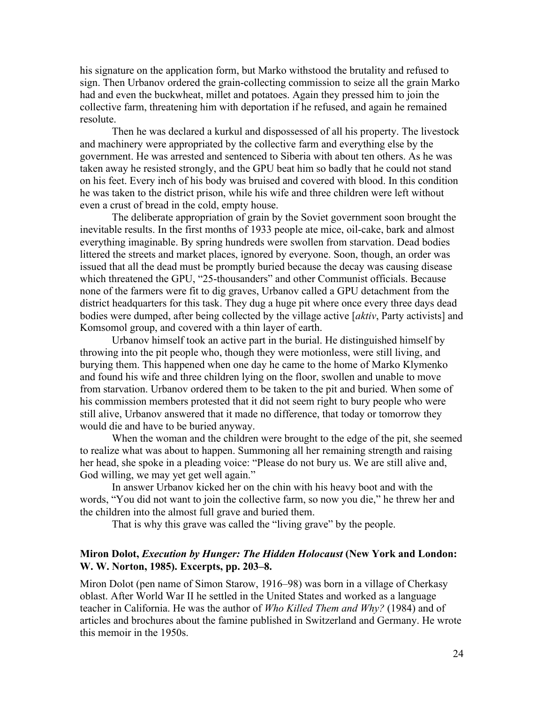his signature on the application form, but Marko withstood the brutality and refused to sign. Then Urbanov ordered the grain-collecting commission to seize all the grain Marko had and even the buckwheat, millet and potatoes. Again they pressed him to join the collective farm, threatening him with deportation if he refused, and again he remained resolute.

Then he was declared a kurkul and dispossessed of all his property. The livestock and machinery were appropriated by the collective farm and everything else by the government. He was arrested and sentenced to Siberia with about ten others. As he was taken away he resisted strongly, and the GPU beat him so badly that he could not stand on his feet. Every inch of his body was bruised and covered with blood. In this condition he was taken to the district prison, while his wife and three children were left without even a crust of bread in the cold, empty house.

The deliberate appropriation of grain by the Soviet government soon brought the inevitable results. In the first months of 1933 people ate mice, oil-cake, bark and almost everything imaginable. By spring hundreds were swollen from starvation. Dead bodies littered the streets and market places, ignored by everyone. Soon, though, an order was issued that all the dead must be promptly buried because the decay was causing disease which threatened the GPU, "25-thousanders" and other Communist officials. Because none of the farmers were fit to dig graves, Urbanov called a GPU detachment from the district headquarters for this task. They dug a huge pit where once every three days dead bodies were dumped, after being collected by the village active [*aktiv*, Party activists] and Komsomol group, and covered with a thin layer of earth.

Urbanov himself took an active part in the burial. He distinguished himself by throwing into the pit people who, though they were motionless, were still living, and burying them. This happened when one day he came to the home of Marko Klymenko and found his wife and three children lying on the floor, swollen and unable to move from starvation. Urbanov ordered them to be taken to the pit and buried. When some of his commission members protested that it did not seem right to bury people who were still alive, Urbanov answered that it made no difference, that today or tomorrow they would die and have to be buried anyway.

When the woman and the children were brought to the edge of the pit, she seemed to realize what was about to happen. Summoning all her remaining strength and raising her head, she spoke in a pleading voice: "Please do not bury us. We are still alive and, God willing, we may yet get well again."

In answer Urbanov kicked her on the chin with his heavy boot and with the words, "You did not want to join the collective farm, so now you die," he threw her and the children into the almost full grave and buried them.

That is why this grave was called the "living grave" by the people.

# **Miron Dolot,** *Execution by Hunger: The Hidden Holocaust* **(New York and London: W. W. Norton, 1985). Excerpts, pp. 203–8.**

Miron Dolot (pen name of Simon Starow, 1916–98) was born in a village of Cherkasy oblast. After World War II he settled in the United States and worked as a language teacher in California. He was the author of *Who Killed Them and Why?* (1984) and of articles and brochures about the famine published in Switzerland and Germany. He wrote this memoir in the 1950s.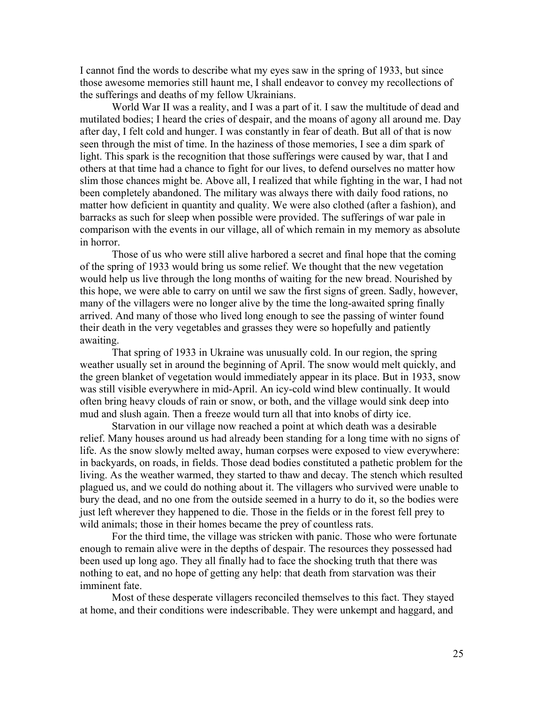I cannot find the words to describe what my eyes saw in the spring of 1933, but since those awesome memories still haunt me, I shall endeavor to convey my recollections of the sufferings and deaths of my fellow Ukrainians.

World War II was a reality, and I was a part of it. I saw the multitude of dead and mutilated bodies; I heard the cries of despair, and the moans of agony all around me. Day after day, I felt cold and hunger. I was constantly in fear of death. But all of that is now seen through the mist of time. In the haziness of those memories, I see a dim spark of light. This spark is the recognition that those sufferings were caused by war, that I and others at that time had a chance to fight for our lives, to defend ourselves no matter how slim those chances might be. Above all, I realized that while fighting in the war, I had not been completely abandoned. The military was always there with daily food rations, no matter how deficient in quantity and quality. We were also clothed (after a fashion), and barracks as such for sleep when possible were provided. The sufferings of war pale in comparison with the events in our village, all of which remain in my memory as absolute in horror.

Those of us who were still alive harbored a secret and final hope that the coming of the spring of 1933 would bring us some relief. We thought that the new vegetation would help us live through the long months of waiting for the new bread. Nourished by this hope, we were able to carry on until we saw the first signs of green. Sadly, however, many of the villagers were no longer alive by the time the long-awaited spring finally arrived. And many of those who lived long enough to see the passing of winter found their death in the very vegetables and grasses they were so hopefully and patiently awaiting.

That spring of 1933 in Ukraine was unusually cold. In our region, the spring weather usually set in around the beginning of April. The snow would melt quickly, and the green blanket of vegetation would immediately appear in its place. But in 1933, snow was still visible everywhere in mid-April. An icy-cold wind blew continually. It would often bring heavy clouds of rain or snow, or both, and the village would sink deep into mud and slush again. Then a freeze would turn all that into knobs of dirty ice.

Starvation in our village now reached a point at which death was a desirable relief. Many houses around us had already been standing for a long time with no signs of life. As the snow slowly melted away, human corpses were exposed to view everywhere: in backyards, on roads, in fields. Those dead bodies constituted a pathetic problem for the living. As the weather warmed, they started to thaw and decay. The stench which resulted plagued us, and we could do nothing about it. The villagers who survived were unable to bury the dead, and no one from the outside seemed in a hurry to do it, so the bodies were just left wherever they happened to die. Those in the fields or in the forest fell prey to wild animals; those in their homes became the prey of countless rats.

For the third time, the village was stricken with panic. Those who were fortunate enough to remain alive were in the depths of despair. The resources they possessed had been used up long ago. They all finally had to face the shocking truth that there was nothing to eat, and no hope of getting any help: that death from starvation was their imminent fate.

Most of these desperate villagers reconciled themselves to this fact. They stayed at home, and their conditions were indescribable. They were unkempt and haggard, and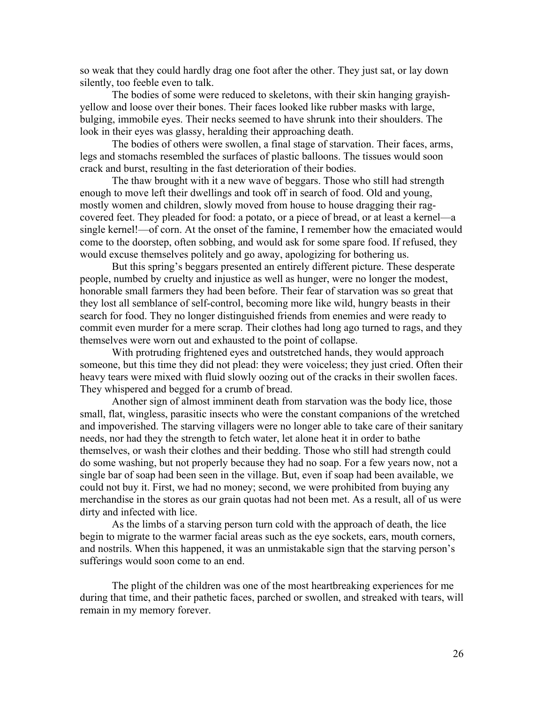so weak that they could hardly drag one foot after the other. They just sat, or lay down silently, too feeble even to talk.

The bodies of some were reduced to skeletons, with their skin hanging grayishyellow and loose over their bones. Their faces looked like rubber masks with large, bulging, immobile eyes. Their necks seemed to have shrunk into their shoulders. The look in their eyes was glassy, heralding their approaching death.

The bodies of others were swollen, a final stage of starvation. Their faces, arms, legs and stomachs resembled the surfaces of plastic balloons. The tissues would soon crack and burst, resulting in the fast deterioration of their bodies.

The thaw brought with it a new wave of beggars. Those who still had strength enough to move left their dwellings and took off in search of food. Old and young, mostly women and children, slowly moved from house to house dragging their ragcovered feet. They pleaded for food: a potato, or a piece of bread, or at least a kernel—a single kernel!—of corn. At the onset of the famine, I remember how the emaciated would come to the doorstep, often sobbing, and would ask for some spare food. If refused, they would excuse themselves politely and go away, apologizing for bothering us.

But this spring's beggars presented an entirely different picture. These desperate people, numbed by cruelty and injustice as well as hunger, were no longer the modest, honorable small farmers they had been before. Their fear of starvation was so great that they lost all semblance of self-control, becoming more like wild, hungry beasts in their search for food. They no longer distinguished friends from enemies and were ready to commit even murder for a mere scrap. Their clothes had long ago turned to rags, and they themselves were worn out and exhausted to the point of collapse.

With protruding frightened eyes and outstretched hands, they would approach someone, but this time they did not plead: they were voiceless; they just cried. Often their heavy tears were mixed with fluid slowly oozing out of the cracks in their swollen faces. They whispered and begged for a crumb of bread.

Another sign of almost imminent death from starvation was the body lice, those small, flat, wingless, parasitic insects who were the constant companions of the wretched and impoverished. The starving villagers were no longer able to take care of their sanitary needs, nor had they the strength to fetch water, let alone heat it in order to bathe themselves, or wash their clothes and their bedding. Those who still had strength could do some washing, but not properly because they had no soap. For a few years now, not a single bar of soap had been seen in the village. But, even if soap had been available, we could not buy it. First, we had no money; second, we were prohibited from buying any merchandise in the stores as our grain quotas had not been met. As a result, all of us were dirty and infected with lice.

As the limbs of a starving person turn cold with the approach of death, the lice begin to migrate to the warmer facial areas such as the eye sockets, ears, mouth corners, and nostrils. When this happened, it was an unmistakable sign that the starving person's sufferings would soon come to an end.

The plight of the children was one of the most heartbreaking experiences for me during that time, and their pathetic faces, parched or swollen, and streaked with tears, will remain in my memory forever.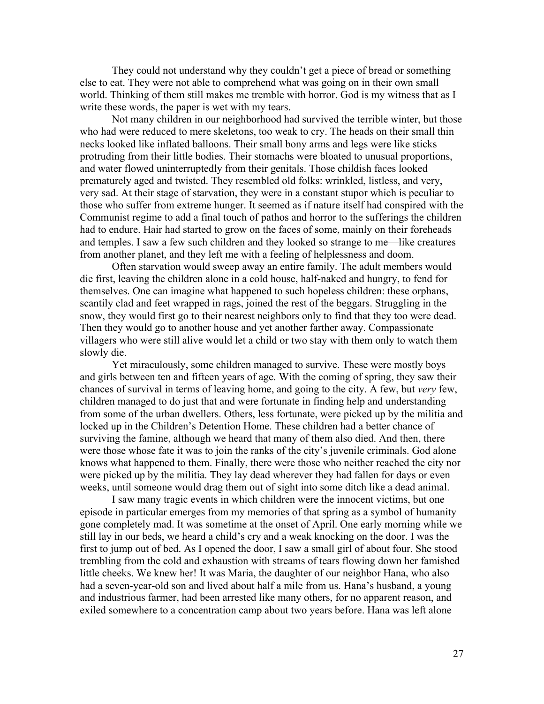They could not understand why they couldn't get a piece of bread or something else to eat. They were not able to comprehend what was going on in their own small world. Thinking of them still makes me tremble with horror. God is my witness that as I write these words, the paper is wet with my tears.

Not many children in our neighborhood had survived the terrible winter, but those who had were reduced to mere skeletons, too weak to cry. The heads on their small thin necks looked like inflated balloons. Their small bony arms and legs were like sticks protruding from their little bodies. Their stomachs were bloated to unusual proportions, and water flowed uninterruptedly from their genitals. Those childish faces looked prematurely aged and twisted. They resembled old folks: wrinkled, listless, and very, very sad. At their stage of starvation, they were in a constant stupor which is peculiar to those who suffer from extreme hunger. It seemed as if nature itself had conspired with the Communist regime to add a final touch of pathos and horror to the sufferings the children had to endure. Hair had started to grow on the faces of some, mainly on their foreheads and temples. I saw a few such children and they looked so strange to me—like creatures from another planet, and they left me with a feeling of helplessness and doom.

Often starvation would sweep away an entire family. The adult members would die first, leaving the children alone in a cold house, half-naked and hungry, to fend for themselves. One can imagine what happened to such hopeless children: these orphans, scantily clad and feet wrapped in rags, joined the rest of the beggars. Struggling in the snow, they would first go to their nearest neighbors only to find that they too were dead. Then they would go to another house and yet another farther away. Compassionate villagers who were still alive would let a child or two stay with them only to watch them slowly die.

Yet miraculously, some children managed to survive. These were mostly boys and girls between ten and fifteen years of age. With the coming of spring, they saw their chances of survival in terms of leaving home, and going to the city. A few, but *very* few, children managed to do just that and were fortunate in finding help and understanding from some of the urban dwellers. Others, less fortunate, were picked up by the militia and locked up in the Children's Detention Home. These children had a better chance of surviving the famine, although we heard that many of them also died. And then, there were those whose fate it was to join the ranks of the city's juvenile criminals. God alone knows what happened to them. Finally, there were those who neither reached the city nor were picked up by the militia. They lay dead wherever they had fallen for days or even weeks, until someone would drag them out of sight into some ditch like a dead animal.

I saw many tragic events in which children were the innocent victims, but one episode in particular emerges from my memories of that spring as a symbol of humanity gone completely mad. It was sometime at the onset of April. One early morning while we still lay in our beds, we heard a child's cry and a weak knocking on the door. I was the first to jump out of bed. As I opened the door, I saw a small girl of about four. She stood trembling from the cold and exhaustion with streams of tears flowing down her famished little cheeks. We knew her! It was Maria, the daughter of our neighbor Hana, who also had a seven-year-old son and lived about half a mile from us. Hana's husband, a young and industrious farmer, had been arrested like many others, for no apparent reason, and exiled somewhere to a concentration camp about two years before. Hana was left alone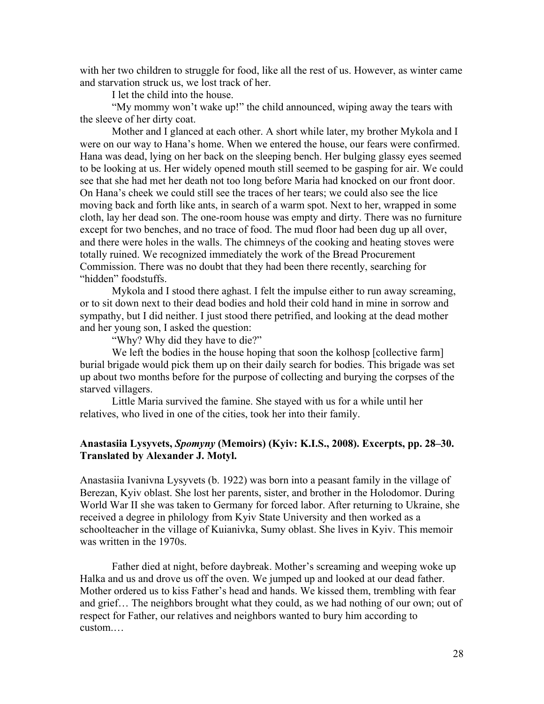with her two children to struggle for food, like all the rest of us. However, as winter came and starvation struck us, we lost track of her.

I let the child into the house.

"My mommy won't wake up!" the child announced, wiping away the tears with the sleeve of her dirty coat.

Mother and I glanced at each other. A short while later, my brother Mykola and I were on our way to Hana's home. When we entered the house, our fears were confirmed. Hana was dead, lying on her back on the sleeping bench. Her bulging glassy eyes seemed to be looking at us. Her widely opened mouth still seemed to be gasping for air. We could see that she had met her death not too long before Maria had knocked on our front door. On Hana's cheek we could still see the traces of her tears; we could also see the lice moving back and forth like ants, in search of a warm spot. Next to her, wrapped in some cloth, lay her dead son. The one-room house was empty and dirty. There was no furniture except for two benches, and no trace of food. The mud floor had been dug up all over, and there were holes in the walls. The chimneys of the cooking and heating stoves were totally ruined. We recognized immediately the work of the Bread Procurement Commission. There was no doubt that they had been there recently, searching for "hidden" foodstuffs.

Mykola and I stood there aghast. I felt the impulse either to run away screaming, or to sit down next to their dead bodies and hold their cold hand in mine in sorrow and sympathy, but I did neither. I just stood there petrified, and looking at the dead mother and her young son, I asked the question:

"Why? Why did they have to die?"

We left the bodies in the house hoping that soon the kolhosp [collective farm] burial brigade would pick them up on their daily search for bodies. This brigade was set up about two months before for the purpose of collecting and burying the corpses of the starved villagers.

Little Maria survived the famine. She stayed with us for a while until her relatives, who lived in one of the cities, took her into their family.

## **Anastasiia Lysyvets,** *Spomyny* **(Memoirs) (Kyiv: K.I.S., 2008). Excerpts, pp. 28–30. Translated by Alexander J. Motyl.**

Anastasiia Ivanivna Lysyvets (b. 1922) was born into a peasant family in the village of Berezan, Kyiv oblast. She lost her parents, sister, and brother in the Holodomor. During World War II she was taken to Germany for forced labor. After returning to Ukraine, she received a degree in philology from Kyiv State University and then worked as a schoolteacher in the village of Kuianivka, Sumy oblast. She lives in Kyiv. This memoir was written in the 1970s.

Father died at night, before daybreak. Mother's screaming and weeping woke up Halka and us and drove us off the oven. We jumped up and looked at our dead father. Mother ordered us to kiss Father's head and hands. We kissed them, trembling with fear and grief… The neighbors brought what they could, as we had nothing of our own; out of respect for Father, our relatives and neighbors wanted to bury him according to custom.…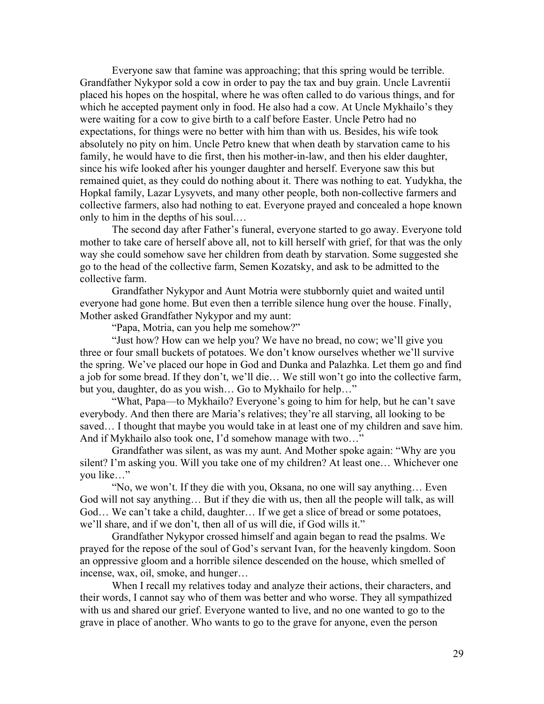Everyone saw that famine was approaching; that this spring would be terrible. Grandfather Nykypor sold a cow in order to pay the tax and buy grain. Uncle Lavrentii placed his hopes on the hospital, where he was often called to do various things, and for which he accepted payment only in food. He also had a cow. At Uncle Mykhailo's they were waiting for a cow to give birth to a calf before Easter. Uncle Petro had no expectations, for things were no better with him than with us. Besides, his wife took absolutely no pity on him. Uncle Petro knew that when death by starvation came to his family, he would have to die first, then his mother-in-law, and then his elder daughter, since his wife looked after his younger daughter and herself. Everyone saw this but remained quiet, as they could do nothing about it. There was nothing to eat. Yudykha, the Hopkal family, Lazar Lysyvets, and many other people, both non-collective farmers and collective farmers, also had nothing to eat. Everyone prayed and concealed a hope known only to him in the depths of his soul.…

The second day after Father's funeral, everyone started to go away. Everyone told mother to take care of herself above all, not to kill herself with grief, for that was the only way she could somehow save her children from death by starvation. Some suggested she go to the head of the collective farm, Semen Kozatsky, and ask to be admitted to the collective farm.

Grandfather Nykypor and Aunt Motria were stubbornly quiet and waited until everyone had gone home. But even then a terrible silence hung over the house. Finally, Mother asked Grandfather Nykypor and my aunt:

"Papa, Motria, can you help me somehow?"

"Just how? How can we help you? We have no bread, no cow; we'll give you three or four small buckets of potatoes. We don't know ourselves whether we'll survive the spring. We've placed our hope in God and Dunka and Palazhka. Let them go and find a job for some bread. If they don't, we'll die… We still won't go into the collective farm, but you, daughter, do as you wish… Go to Mykhailo for help…"

"What, Papa—to Mykhailo? Everyone's going to him for help, but he can't save everybody. And then there are Maria's relatives; they're all starving, all looking to be saved… I thought that maybe you would take in at least one of my children and save him. And if Mykhailo also took one, I'd somehow manage with two…"

Grandfather was silent, as was my aunt. And Mother spoke again: "Why are you silent? I'm asking you. Will you take one of my children? At least one… Whichever one you like…"

"No, we won't. If they die with you, Oksana, no one will say anything… Even God will not say anything… But if they die with us, then all the people will talk, as will God… We can't take a child, daughter… If we get a slice of bread or some potatoes, we'll share, and if we don't, then all of us will die, if God wills it."

Grandfather Nykypor crossed himself and again began to read the psalms. We prayed for the repose of the soul of God's servant Ivan, for the heavenly kingdom. Soon an oppressive gloom and a horrible silence descended on the house, which smelled of incense, wax, oil, smoke, and hunger…

When I recall my relatives today and analyze their actions, their characters, and their words, I cannot say who of them was better and who worse. They all sympathized with us and shared our grief. Everyone wanted to live, and no one wanted to go to the grave in place of another. Who wants to go to the grave for anyone, even the person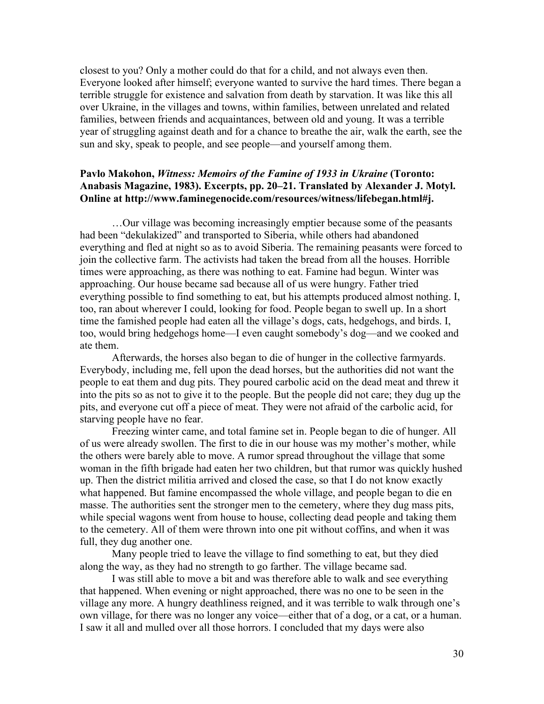closest to you? Only a mother could do that for a child, and not always even then. Everyone looked after himself; everyone wanted to survive the hard times. There began a terrible struggle for existence and salvation from death by starvation. It was like this all over Ukraine, in the villages and towns, within families, between unrelated and related families, between friends and acquaintances, between old and young. It was a terrible year of struggling against death and for a chance to breathe the air, walk the earth, see the sun and sky, speak to people, and see people—and yourself among them.

# **Pavlo Makohon,** *Witness: Memoirs of the Famine of 1933 in Ukraine* **(Toronto: Anabasis Magazine, 1983). Excerpts, pp. 20–21. Translated by Alexander J. Motyl. Online at http://www.faminegenocide.com/resources/witness/lifebegan.html#j.**

…Our village was becoming increasingly emptier because some of the peasants had been "dekulakized" and transported to Siberia, while others had abandoned everything and fled at night so as to avoid Siberia. The remaining peasants were forced to join the collective farm. The activists had taken the bread from all the houses. Horrible times were approaching, as there was nothing to eat. Famine had begun. Winter was approaching. Our house became sad because all of us were hungry. Father tried everything possible to find something to eat, but his attempts produced almost nothing. I, too, ran about wherever I could, looking for food. People began to swell up. In a short time the famished people had eaten all the village's dogs, cats, hedgehogs, and birds. I, too, would bring hedgehogs home—I even caught somebody's dog—and we cooked and ate them.

Afterwards, the horses also began to die of hunger in the collective farmyards. Everybody, including me, fell upon the dead horses, but the authorities did not want the people to eat them and dug pits. They poured carbolic acid on the dead meat and threw it into the pits so as not to give it to the people. But the people did not care; they dug up the pits, and everyone cut off a piece of meat. They were not afraid of the carbolic acid, for starving people have no fear.

Freezing winter came, and total famine set in. People began to die of hunger. All of us were already swollen. The first to die in our house was my mother's mother, while the others were barely able to move. A rumor spread throughout the village that some woman in the fifth brigade had eaten her two children, but that rumor was quickly hushed up. Then the district militia arrived and closed the case, so that I do not know exactly what happened. But famine encompassed the whole village, and people began to die en masse. The authorities sent the stronger men to the cemetery, where they dug mass pits, while special wagons went from house to house, collecting dead people and taking them to the cemetery. All of them were thrown into one pit without coffins, and when it was full, they dug another one.

Many people tried to leave the village to find something to eat, but they died along the way, as they had no strength to go farther. The village became sad.

I was still able to move a bit and was therefore able to walk and see everything that happened. When evening or night approached, there was no one to be seen in the village any more. A hungry deathliness reigned, and it was terrible to walk through one's own village, for there was no longer any voice—either that of a dog, or a cat, or a human. I saw it all and mulled over all those horrors. I concluded that my days were also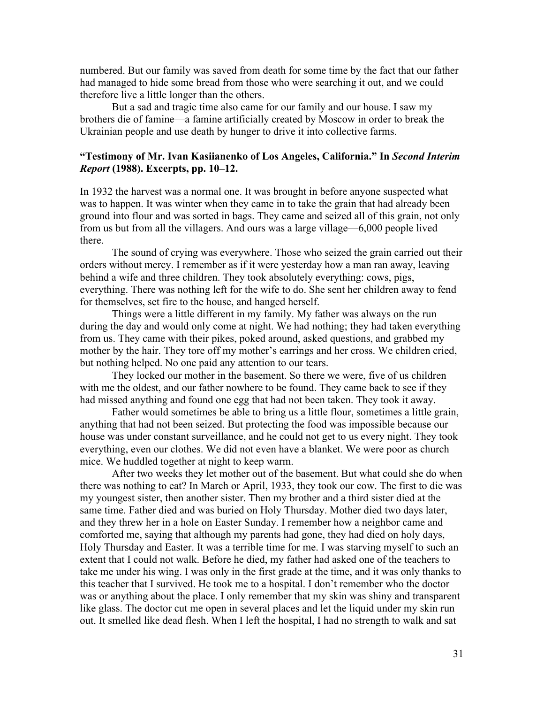numbered. But our family was saved from death for some time by the fact that our father had managed to hide some bread from those who were searching it out, and we could therefore live a little longer than the others.

But a sad and tragic time also came for our family and our house. I saw my brothers die of famine—a famine artificially created by Moscow in order to break the Ukrainian people and use death by hunger to drive it into collective farms.

# **"Testimony of Mr. Ivan Kasiianenko of Los Angeles, California." In** *Second Interim Report* **(1988). Excerpts, pp. 10–12.**

In 1932 the harvest was a normal one. It was brought in before anyone suspected what was to happen. It was winter when they came in to take the grain that had already been ground into flour and was sorted in bags. They came and seized all of this grain, not only from us but from all the villagers. And ours was a large village—6,000 people lived there.

The sound of crying was everywhere. Those who seized the grain carried out their orders without mercy. I remember as if it were yesterday how a man ran away, leaving behind a wife and three children. They took absolutely everything: cows, pigs, everything. There was nothing left for the wife to do. She sent her children away to fend for themselves, set fire to the house, and hanged herself.

Things were a little different in my family. My father was always on the run during the day and would only come at night. We had nothing; they had taken everything from us. They came with their pikes, poked around, asked questions, and grabbed my mother by the hair. They tore off my mother's earrings and her cross. We children cried, but nothing helped. No one paid any attention to our tears.

They locked our mother in the basement. So there we were, five of us children with me the oldest, and our father nowhere to be found. They came back to see if they had missed anything and found one egg that had not been taken. They took it away.

Father would sometimes be able to bring us a little flour, sometimes a little grain, anything that had not been seized. But protecting the food was impossible because our house was under constant surveillance, and he could not get to us every night. They took everything, even our clothes. We did not even have a blanket. We were poor as church mice. We huddled together at night to keep warm.

After two weeks they let mother out of the basement. But what could she do when there was nothing to eat? In March or April, 1933, they took our cow. The first to die was my youngest sister, then another sister. Then my brother and a third sister died at the same time. Father died and was buried on Holy Thursday. Mother died two days later, and they threw her in a hole on Easter Sunday. I remember how a neighbor came and comforted me, saying that although my parents had gone, they had died on holy days, Holy Thursday and Easter. It was a terrible time for me. I was starving myself to such an extent that I could not walk. Before he died, my father had asked one of the teachers to take me under his wing. I was only in the first grade at the time, and it was only thanks to this teacher that I survived. He took me to a hospital. I don't remember who the doctor was or anything about the place. I only remember that my skin was shiny and transparent like glass. The doctor cut me open in several places and let the liquid under my skin run out. It smelled like dead flesh. When I left the hospital, I had no strength to walk and sat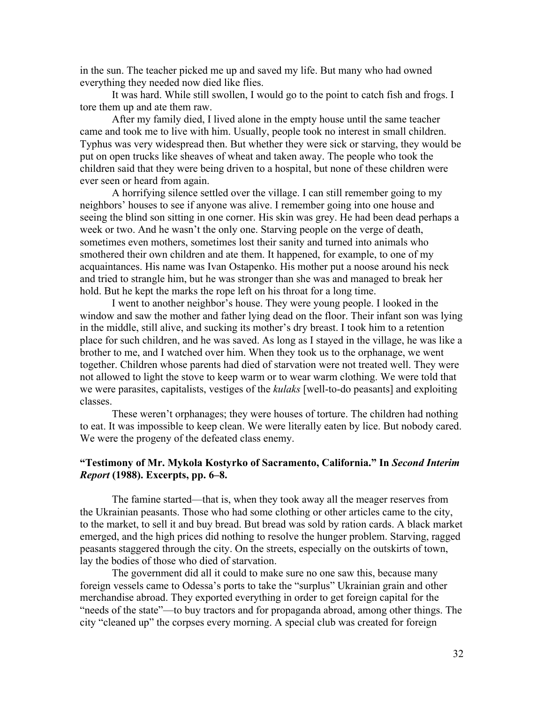in the sun. The teacher picked me up and saved my life. But many who had owned everything they needed now died like flies.

It was hard. While still swollen, I would go to the point to catch fish and frogs. I tore them up and ate them raw.

After my family died, I lived alone in the empty house until the same teacher came and took me to live with him. Usually, people took no interest in small children. Typhus was very widespread then. But whether they were sick or starving, they would be put on open trucks like sheaves of wheat and taken away. The people who took the children said that they were being driven to a hospital, but none of these children were ever seen or heard from again.

A horrifying silence settled over the village. I can still remember going to my neighbors' houses to see if anyone was alive. I remember going into one house and seeing the blind son sitting in one corner. His skin was grey. He had been dead perhaps a week or two. And he wasn't the only one. Starving people on the verge of death, sometimes even mothers, sometimes lost their sanity and turned into animals who smothered their own children and ate them. It happened, for example, to one of my acquaintances. His name was Ivan Ostapenko. His mother put a noose around his neck and tried to strangle him, but he was stronger than she was and managed to break her hold. But he kept the marks the rope left on his throat for a long time.

I went to another neighbor's house. They were young people. I looked in the window and saw the mother and father lying dead on the floor. Their infant son was lying in the middle, still alive, and sucking its mother's dry breast. I took him to a retention place for such children, and he was saved. As long as I stayed in the village, he was like a brother to me, and I watched over him. When they took us to the orphanage, we went together. Children whose parents had died of starvation were not treated well. They were not allowed to light the stove to keep warm or to wear warm clothing. We were told that we were parasites, capitalists, vestiges of the *kulaks* [well-to-do peasants] and exploiting classes.

These weren't orphanages; they were houses of torture. The children had nothing to eat. It was impossible to keep clean. We were literally eaten by lice. But nobody cared. We were the progeny of the defeated class enemy.

## **"Testimony of Mr. Mykola Kostyrko of Sacramento, California." In** *Second Interim Report* **(1988). Excerpts, pp. 6–8.**

The famine started—that is, when they took away all the meager reserves from the Ukrainian peasants. Those who had some clothing or other articles came to the city, to the market, to sell it and buy bread. But bread was sold by ration cards. A black market emerged, and the high prices did nothing to resolve the hunger problem. Starving, ragged peasants staggered through the city. On the streets, especially on the outskirts of town, lay the bodies of those who died of starvation.

The government did all it could to make sure no one saw this, because many foreign vessels came to Odessa's ports to take the "surplus" Ukrainian grain and other merchandise abroad. They exported everything in order to get foreign capital for the "needs of the state"—to buy tractors and for propaganda abroad, among other things. The city "cleaned up" the corpses every morning. A special club was created for foreign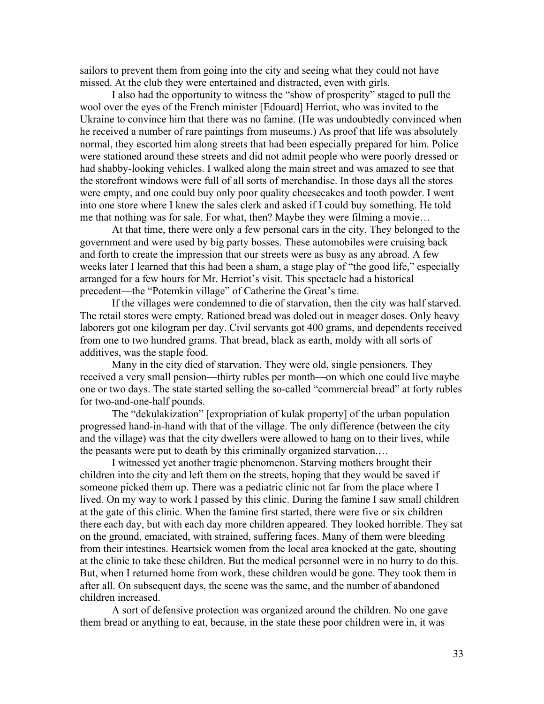sailors to prevent them from going into the city and seeing what they could not have missed. At the club they were entertained and distracted, even with girls.

I also had the opportunity to witness the "show of prosperity" staged to pull the wool over the eyes of the French minister [Edouard] Herriot, who was invited to the Ukraine to convince him that there was no famine. (He was undoubtedly convinced when he received a number of rare paintings from museums.) As proof that life was absolutely normal, they escorted him along streets that had been especially prepared for him. Police were stationed around these streets and did not admit people who were poorly dressed or had shabby-looking vehicles. I walked along the main street and was amazed to see that the storefront windows were full of all sorts of merchandise. In those days all the stores were empty, and one could buy only poor quality cheesecakes and tooth powder. I went into one store where I knew the sales clerk and asked if I could buy something. He told me that nothing was for sale. For what, then? Maybe they were filming a movie…

At that time, there were only a few personal cars in the city. They belonged to the government and were used by big party bosses. These automobiles were cruising back and forth to create the impression that our streets were as busy as any abroad. A few weeks later I learned that this had been a sham, a stage play of "the good life," especially arranged for a few hours for Mr. Herriot's visit. This spectacle had a historical precedent—the "Potemkin village" of Catherine the Great's time.

If the villages were condemned to die of starvation, then the city was half starved. The retail stores were empty. Rationed bread was doled out in meager doses. Only heavy laborers got one kilogram per day. Civil servants got 400 grams, and dependents received from one to two hundred grams. That bread, black as earth, moldy with all sorts of additives, was the staple food.

Many in the city died of starvation. They were old, single pensioners. They received a very small pension—thirty rubles per month—on which one could live maybe one or two days. The state started selling the so-called "commercial bread" at forty rubles for two-and-one-half pounds.

The "dekulakization" [expropriation of kulak property] of the urban population progressed hand-in-hand with that of the village. The only difference (between the city and the village) was that the city dwellers were allowed to hang on to their lives, while the peasants were put to death by this criminally organized starvation.…

I witnessed yet another tragic phenomenon. Starving mothers brought their children into the city and left them on the streets, hoping that they would be saved if someone picked them up. There was a pediatric clinic not far from the place where I lived. On my way to work I passed by this clinic. During the famine I saw small children at the gate of this clinic. When the famine first started, there were five or six children there each day, but with each day more children appeared. They looked horrible. They sat on the ground, emaciated, with strained, suffering faces. Many of them were bleeding from their intestines. Heartsick women from the local area knocked at the gate, shouting at the clinic to take these children. But the medical personnel were in no hurry to do this. But, when I returned home from work, these children would be gone. They took them in after all. On subsequent days, the scene was the same, and the number of abandoned children increased.

A sort of defensive protection was organized around the children. No one gave them bread or anything to eat, because, in the state these poor children were in, it was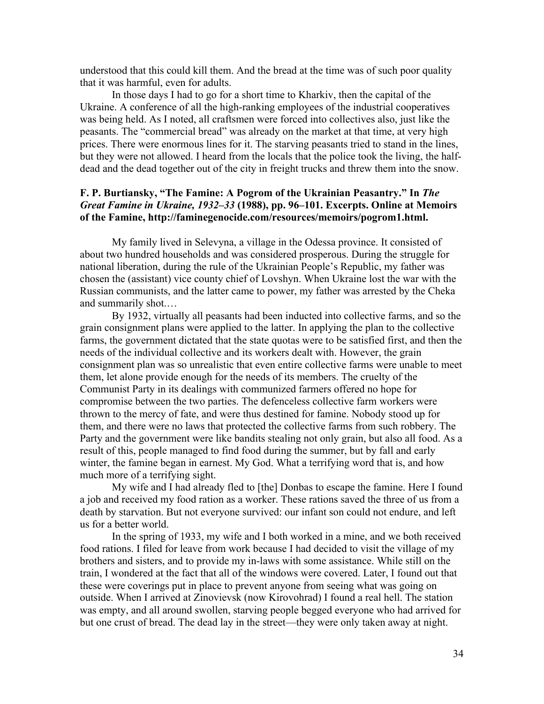understood that this could kill them. And the bread at the time was of such poor quality that it was harmful, even for adults.

In those days I had to go for a short time to Kharkiv, then the capital of the Ukraine. A conference of all the high-ranking employees of the industrial cooperatives was being held. As I noted, all craftsmen were forced into collectives also, just like the peasants. The "commercial bread" was already on the market at that time, at very high prices. There were enormous lines for it. The starving peasants tried to stand in the lines, but they were not allowed. I heard from the locals that the police took the living, the halfdead and the dead together out of the city in freight trucks and threw them into the snow.

# **F. P. Burtiansky, "The Famine: A Pogrom of the Ukrainian Peasantry." In** *The Great Famine in Ukraine, 1932–33* **(1988), pp. 96–101. Excerpts. Online at Memoirs of the Famine, http://faminegenocide.com/resources/memoirs/pogrom1.html.**

My family lived in Selevyna, a village in the Odessa province. It consisted of about two hundred households and was considered prosperous. During the struggle for national liberation, during the rule of the Ukrainian People's Republic, my father was chosen the (assistant) vice county chief of Lovshyn. When Ukraine lost the war with the Russian communists, and the latter came to power, my father was arrested by the Cheka and summarily shot.…

By 1932, virtually all peasants had been inducted into collective farms, and so the grain consignment plans were applied to the latter. In applying the plan to the collective farms, the government dictated that the state quotas were to be satisfied first, and then the needs of the individual collective and its workers dealt with. However, the grain consignment plan was so unrealistic that even entire collective farms were unable to meet them, let alone provide enough for the needs of its members. The cruelty of the Communist Party in its dealings with communized farmers offered no hope for compromise between the two parties. The defenceless collective farm workers were thrown to the mercy of fate, and were thus destined for famine. Nobody stood up for them, and there were no laws that protected the collective farms from such robbery. The Party and the government were like bandits stealing not only grain, but also all food. As a result of this, people managed to find food during the summer, but by fall and early winter, the famine began in earnest. My God. What a terrifying word that is, and how much more of a terrifying sight.

My wife and I had already fled to [the] Donbas to escape the famine. Here I found a job and received my food ration as a worker. These rations saved the three of us from a death by starvation. But not everyone survived: our infant son could not endure, and left us for a better world.

In the spring of 1933, my wife and I both worked in a mine, and we both received food rations. I filed for leave from work because I had decided to visit the village of my brothers and sisters, and to provide my in-laws with some assistance. While still on the train, I wondered at the fact that all of the windows were covered. Later, I found out that these were coverings put in place to prevent anyone from seeing what was going on outside. When I arrived at Zinovievsk (now Kirovohrad) I found a real hell. The station was empty, and all around swollen, starving people begged everyone who had arrived for but one crust of bread. The dead lay in the street—they were only taken away at night.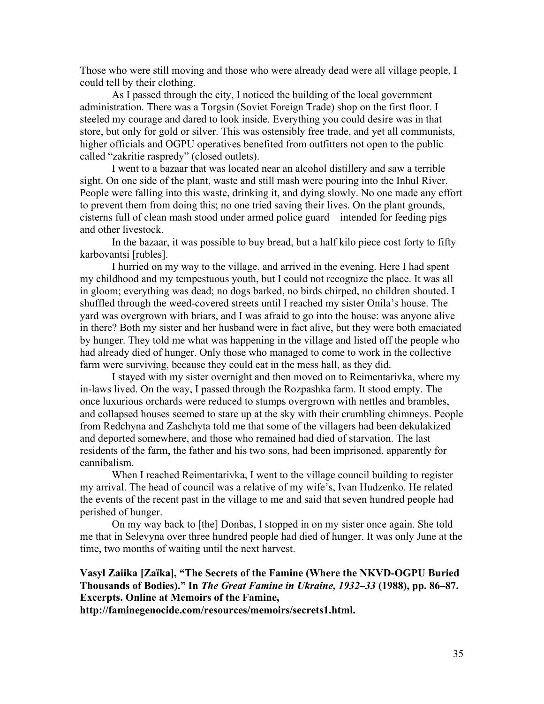Those who were still moving and those who were already dead were all village people, I could tell by their clothing.

As I passed through the city, I noticed the building of the local government administration. There was a Torgsin (Soviet Foreign Trade) shop on the first floor. I steeled my courage and dared to look inside. Everything you could desire was in that store, but only for gold or silver. This was ostensibly free trade, and yet all communists, higher officials and OGPU operatives benefited from outfitters not open to the public called "zakritie raspredy" (closed outlets).

I went to a bazaar that was located near an alcohol distillery and saw a terrible sight. On one side of the plant, waste and still mash were pouring into the Inhul River. People were falling into this waste, drinking it, and dying slowly. No one made any effort to prevent them from doing this; no one tried saving their lives. On the plant grounds, cisterns full of clean mash stood under armed police guard—intended for feeding pigs and other livestock.

In the bazaar, it was possible to buy bread, but a half kilo piece cost forty to fifty karbovantsi [rubles].

I hurried on my way to the village, and arrived in the evening. Here I had spent my childhood and my tempestuous youth, but I could not recognize the place. It was all in gloom; everything was dead; no dogs barked, no birds chirped, no children shouted. I shuffled through the weed-covered streets until I reached my sister Onila's house. The yard was overgrown with briars, and I was afraid to go into the house: was anyone alive in there? Both my sister and her husband were in fact alive, but they were both emaciated by hunger. They told me what was happening in the village and listed off the people who had already died of hunger. Only those who managed to come to work in the collective farm were surviving, because they could eat in the mess hall, as they did.

I stayed with my sister overnight and then moved on to Reimentarivka, where my in-laws lived. On the way, I passed through the Rozpashka farm. It stood empty. The once luxurious orchards were reduced to stumps overgrown with nettles and brambles, and collapsed houses seemed to stare up at the sky with their crumbling chimneys. People from Redchyna and Zashchyta told me that some of the villagers had been dekulakized and deported somewhere, and those who remained had died of starvation. The last residents of the farm, the father and his two sons, had been imprisoned, apparently for cannibalism.

When I reached Reimentarivka, I went to the village council building to register my arrival. The head of council was a relative of my wife's, Ivan Hudzenko. He related the events of the recent past in the village to me and said that seven hundred people had perished of hunger.

On my way back to [the] Donbas, I stopped in on my sister once again. She told me that in Selevyna over three hundred people had died of hunger. It was only June at the time, two months of waiting until the next harvest.

# **Vasyl Zaiika [Zaïka], "The Secrets of the Famine (Where the NKVD-OGPU Buried Thousands of Bodies)." In** *The Great Famine in Ukraine, 1932–33* **(1988), pp. 86–87. Excerpts. Online at Memoirs of the Famine,**

**http://faminegenocide.com/resources/memoirs/secrets1.html.**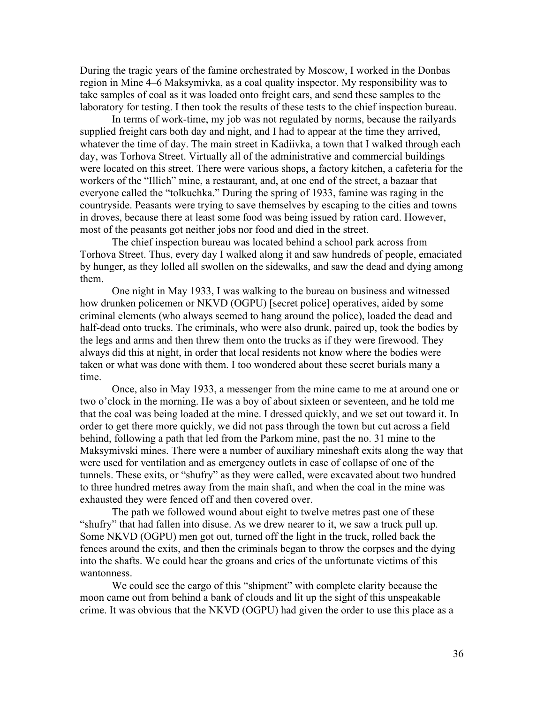During the tragic years of the famine orchestrated by Moscow, I worked in the Donbas region in Mine 4–6 Maksymivka, as a coal quality inspector. My responsibility was to take samples of coal as it was loaded onto freight cars, and send these samples to the laboratory for testing. I then took the results of these tests to the chief inspection bureau.

In terms of work-time, my job was not regulated by norms, because the railyards supplied freight cars both day and night, and I had to appear at the time they arrived, whatever the time of day. The main street in Kadiivka, a town that I walked through each day, was Torhova Street. Virtually all of the administrative and commercial buildings were located on this street. There were various shops, a factory kitchen, a cafeteria for the workers of the "Illich" mine, a restaurant, and, at one end of the street, a bazaar that everyone called the "tolkuchka." During the spring of 1933, famine was raging in the countryside. Peasants were trying to save themselves by escaping to the cities and towns in droves, because there at least some food was being issued by ration card. However, most of the peasants got neither jobs nor food and died in the street.

The chief inspection bureau was located behind a school park across from Torhova Street. Thus, every day I walked along it and saw hundreds of people, emaciated by hunger, as they lolled all swollen on the sidewalks, and saw the dead and dying among them.

One night in May 1933, I was walking to the bureau on business and witnessed how drunken policemen or NKVD (OGPU) [secret police] operatives, aided by some criminal elements (who always seemed to hang around the police), loaded the dead and half-dead onto trucks. The criminals, who were also drunk, paired up, took the bodies by the legs and arms and then threw them onto the trucks as if they were firewood. They always did this at night, in order that local residents not know where the bodies were taken or what was done with them. I too wondered about these secret burials many a time.

Once, also in May 1933, a messenger from the mine came to me at around one or two o'clock in the morning. He was a boy of about sixteen or seventeen, and he told me that the coal was being loaded at the mine. I dressed quickly, and we set out toward it. In order to get there more quickly, we did not pass through the town but cut across a field behind, following a path that led from the Parkom mine, past the no. 31 mine to the Maksymivski mines. There were a number of auxiliary mineshaft exits along the way that were used for ventilation and as emergency outlets in case of collapse of one of the tunnels. These exits, or "shufry" as they were called, were excavated about two hundred to three hundred metres away from the main shaft, and when the coal in the mine was exhausted they were fenced off and then covered over.

The path we followed wound about eight to twelve metres past one of these "shufry" that had fallen into disuse. As we drew nearer to it, we saw a truck pull up. Some NKVD (OGPU) men got out, turned off the light in the truck, rolled back the fences around the exits, and then the criminals began to throw the corpses and the dying into the shafts. We could hear the groans and cries of the unfortunate victims of this wantonness.

We could see the cargo of this "shipment" with complete clarity because the moon came out from behind a bank of clouds and lit up the sight of this unspeakable crime. It was obvious that the NKVD (OGPU) had given the order to use this place as a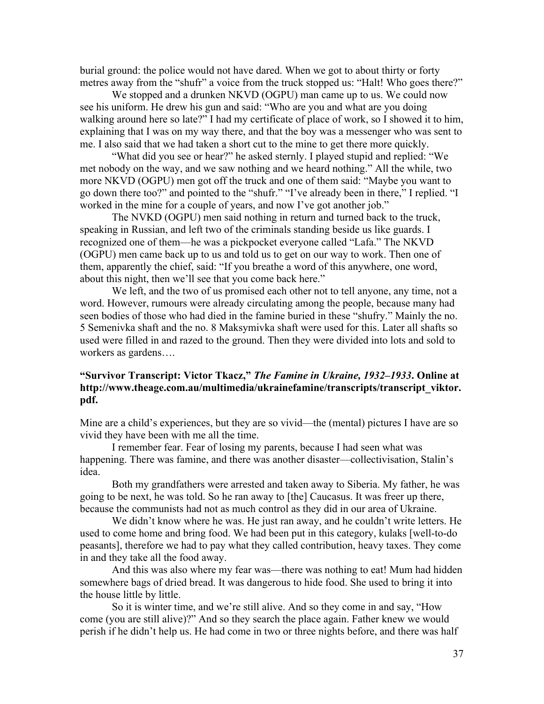burial ground: the police would not have dared. When we got to about thirty or forty metres away from the "shufr" a voice from the truck stopped us: "Halt! Who goes there?"

We stopped and a drunken NKVD (OGPU) man came up to us. We could now see his uniform. He drew his gun and said: "Who are you and what are you doing walking around here so late?" I had my certificate of place of work, so I showed it to him, explaining that I was on my way there, and that the boy was a messenger who was sent to me. I also said that we had taken a short cut to the mine to get there more quickly.

"What did you see or hear?" he asked sternly. I played stupid and replied: "We met nobody on the way, and we saw nothing and we heard nothing." All the while, two more NKVD (OGPU) men got off the truck and one of them said: "Maybe you want to go down there too?" and pointed to the "shufr." "I've already been in there," I replied. "I worked in the mine for a couple of years, and now I've got another job."

The NVKD (OGPU) men said nothing in return and turned back to the truck, speaking in Russian, and left two of the criminals standing beside us like guards. I recognized one of them—he was a pickpocket everyone called "Lafa." The NKVD (OGPU) men came back up to us and told us to get on our way to work. Then one of them, apparently the chief, said: "If you breathe a word of this anywhere, one word, about this night, then we'll see that you come back here."

We left, and the two of us promised each other not to tell anyone, any time, not a word. However, rumours were already circulating among the people, because many had seen bodies of those who had died in the famine buried in these "shufry." Mainly the no. 5 Semenivka shaft and the no. 8 Maksymivka shaft were used for this. Later all shafts so used were filled in and razed to the ground. Then they were divided into lots and sold to workers as gardens….

# **"Survivor Transcript: Victor Tkacz,"** *The Famine in Ukraine, 1932–1933***. Online at http://www.theage.com.au/multimedia/ukrainefamine/transcripts/transcript\_viktor. pdf.**

Mine are a child's experiences, but they are so vivid—the (mental) pictures I have are so vivid they have been with me all the time.

I remember fear. Fear of losing my parents, because I had seen what was happening. There was famine, and there was another disaster—collectivisation, Stalin's idea.

Both my grandfathers were arrested and taken away to Siberia. My father, he was going to be next, he was told. So he ran away to [the] Caucasus. It was freer up there, because the communists had not as much control as they did in our area of Ukraine.

We didn't know where he was. He just ran away, and he couldn't write letters. He used to come home and bring food. We had been put in this category, kulaks [well-to-do peasants], therefore we had to pay what they called contribution, heavy taxes. They come in and they take all the food away.

And this was also where my fear was—there was nothing to eat! Mum had hidden somewhere bags of dried bread. It was dangerous to hide food. She used to bring it into the house little by little.

So it is winter time, and we're still alive. And so they come in and say, "How come (you are still alive)?" And so they search the place again. Father knew we would perish if he didn't help us. He had come in two or three nights before, and there was half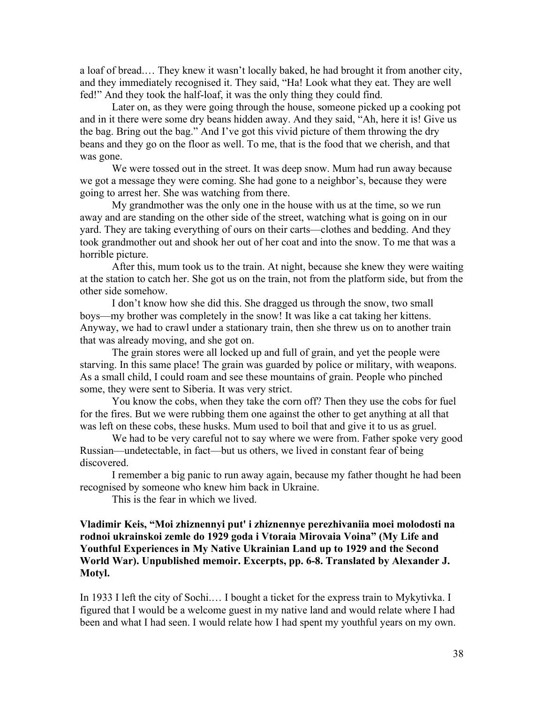a loaf of bread.… They knew it wasn't locally baked, he had brought it from another city, and they immediately recognised it. They said, "Ha! Look what they eat. They are well fed!" And they took the half-loaf, it was the only thing they could find.

Later on, as they were going through the house, someone picked up a cooking pot and in it there were some dry beans hidden away. And they said, "Ah, here it is! Give us the bag. Bring out the bag." And I've got this vivid picture of them throwing the dry beans and they go on the floor as well. To me, that is the food that we cherish, and that was gone.

We were tossed out in the street. It was deep snow. Mum had run away because we got a message they were coming. She had gone to a neighbor's, because they were going to arrest her. She was watching from there.

My grandmother was the only one in the house with us at the time, so we run away and are standing on the other side of the street, watching what is going on in our yard. They are taking everything of ours on their carts—clothes and bedding. And they took grandmother out and shook her out of her coat and into the snow. To me that was a horrible picture.

After this, mum took us to the train. At night, because she knew they were waiting at the station to catch her. She got us on the train, not from the platform side, but from the other side somehow.

I don't know how she did this. She dragged us through the snow, two small boys—my brother was completely in the snow! It was like a cat taking her kittens. Anyway, we had to crawl under a stationary train, then she threw us on to another train that was already moving, and she got on.

The grain stores were all locked up and full of grain, and yet the people were starving. In this same place! The grain was guarded by police or military, with weapons. As a small child, I could roam and see these mountains of grain. People who pinched some, they were sent to Siberia. It was very strict.

You know the cobs, when they take the corn off? Then they use the cobs for fuel for the fires. But we were rubbing them one against the other to get anything at all that was left on these cobs, these husks. Mum used to boil that and give it to us as gruel.

We had to be very careful not to say where we were from. Father spoke very good Russian—undetectable, in fact—but us others, we lived in constant fear of being discovered.

I remember a big panic to run away again, because my father thought he had been recognised by someone who knew him back in Ukraine.

This is the fear in which we lived.

# **Vladimir Keis, "Moi zhiznennyi put' i zhiznennye perezhivaniia moei molodosti na rodnoi ukrainskoi zemle do 1929 goda i Vtoraia Mirovaia Voina" (My Life and Youthful Experiences in My Native Ukrainian Land up to 1929 and the Second World War). Unpublished memoir. Excerpts, pp. 6-8. Translated by Alexander J. Motyl.**

In 1933 I left the city of Sochi.… I bought a ticket for the express train to Mykytivka. I figured that I would be a welcome guest in my native land and would relate where I had been and what I had seen. I would relate how I had spent my youthful years on my own.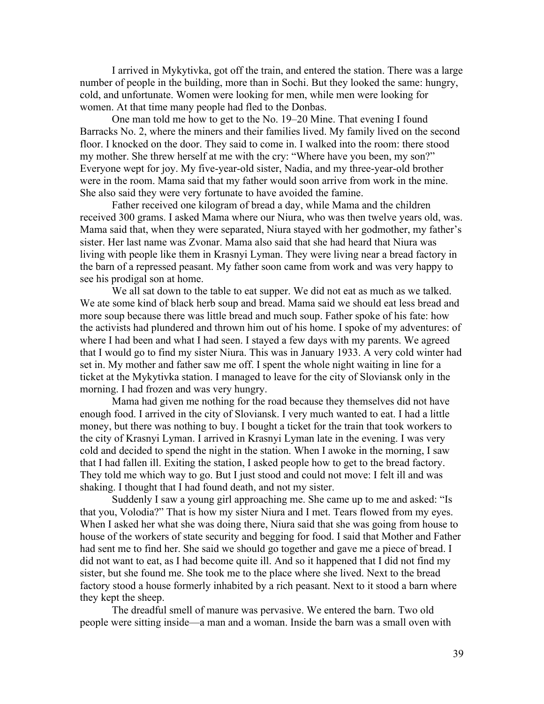I arrived in Mykytivka, got off the train, and entered the station. There was a large number of people in the building, more than in Sochi. But they looked the same: hungry, cold, and unfortunate. Women were looking for men, while men were looking for women. At that time many people had fled to the Donbas.

One man told me how to get to the No. 19–20 Mine. That evening I found Barracks No. 2, where the miners and their families lived. My family lived on the second floor. I knocked on the door. They said to come in. I walked into the room: there stood my mother. She threw herself at me with the cry: "Where have you been, my son?" Everyone wept for joy. My five-year-old sister, Nadia, and my three-year-old brother were in the room. Mama said that my father would soon arrive from work in the mine. She also said they were very fortunate to have avoided the famine.

Father received one kilogram of bread a day, while Mama and the children received 300 grams. I asked Mama where our Niura, who was then twelve years old, was. Mama said that, when they were separated, Niura stayed with her godmother, my father's sister. Her last name was Zvonar. Mama also said that she had heard that Niura was living with people like them in Krasnyi Lyman. They were living near a bread factory in the barn of a repressed peasant. My father soon came from work and was very happy to see his prodigal son at home.

We all sat down to the table to eat supper. We did not eat as much as we talked. We ate some kind of black herb soup and bread. Mama said we should eat less bread and more soup because there was little bread and much soup. Father spoke of his fate: how the activists had plundered and thrown him out of his home. I spoke of my adventures: of where I had been and what I had seen. I stayed a few days with my parents. We agreed that I would go to find my sister Niura. This was in January 1933. A very cold winter had set in. My mother and father saw me off. I spent the whole night waiting in line for a ticket at the Mykytivka station. I managed to leave for the city of Sloviansk only in the morning. I had frozen and was very hungry.

Mama had given me nothing for the road because they themselves did not have enough food. I arrived in the city of Sloviansk. I very much wanted to eat. I had a little money, but there was nothing to buy. I bought a ticket for the train that took workers to the city of Krasnyi Lyman. I arrived in Krasnyi Lyman late in the evening. I was very cold and decided to spend the night in the station. When I awoke in the morning, I saw that I had fallen ill. Exiting the station, I asked people how to get to the bread factory. They told me which way to go. But I just stood and could not move: I felt ill and was shaking. I thought that I had found death, and not my sister.

Suddenly I saw a young girl approaching me. She came up to me and asked: "Is that you, Volodia?" That is how my sister Niura and I met. Tears flowed from my eyes. When I asked her what she was doing there, Niura said that she was going from house to house of the workers of state security and begging for food. I said that Mother and Father had sent me to find her. She said we should go together and gave me a piece of bread. I did not want to eat, as I had become quite ill. And so it happened that I did not find my sister, but she found me. She took me to the place where she lived. Next to the bread factory stood a house formerly inhabited by a rich peasant. Next to it stood a barn where they kept the sheep.

The dreadful smell of manure was pervasive. We entered the barn. Two old people were sitting inside—a man and a woman. Inside the barn was a small oven with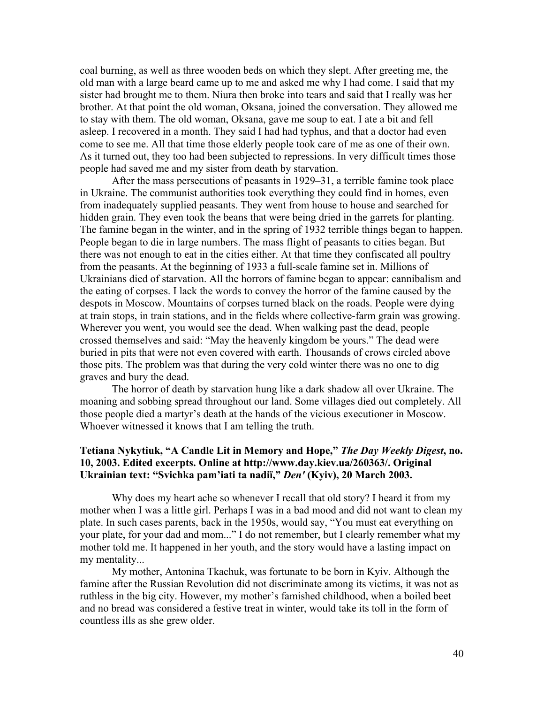coal burning, as well as three wooden beds on which they slept. After greeting me, the old man with a large beard came up to me and asked me why I had come. I said that my sister had brought me to them. Niura then broke into tears and said that I really was her brother. At that point the old woman, Oksana, joined the conversation. They allowed me to stay with them. The old woman, Oksana, gave me soup to eat. I ate a bit and fell asleep. I recovered in a month. They said I had had typhus, and that a doctor had even come to see me. All that time those elderly people took care of me as one of their own. As it turned out, they too had been subjected to repressions. In very difficult times those people had saved me and my sister from death by starvation.

After the mass persecutions of peasants in 1929–31, a terrible famine took place in Ukraine. The communist authorities took everything they could find in homes, even from inadequately supplied peasants. They went from house to house and searched for hidden grain. They even took the beans that were being dried in the garrets for planting. The famine began in the winter, and in the spring of 1932 terrible things began to happen. People began to die in large numbers. The mass flight of peasants to cities began. But there was not enough to eat in the cities either. At that time they confiscated all poultry from the peasants. At the beginning of 1933 a full-scale famine set in. Millions of Ukrainians died of starvation. All the horrors of famine began to appear: cannibalism and the eating of corpses. I lack the words to convey the horror of the famine caused by the despots in Moscow. Mountains of corpses turned black on the roads. People were dying at train stops, in train stations, and in the fields where collective-farm grain was growing. Wherever you went, you would see the dead. When walking past the dead, people crossed themselves and said: "May the heavenly kingdom be yours." The dead were buried in pits that were not even covered with earth. Thousands of crows circled above those pits. The problem was that during the very cold winter there was no one to dig graves and bury the dead.

The horror of death by starvation hung like a dark shadow all over Ukraine. The moaning and sobbing spread throughout our land. Some villages died out completely. All those people died a martyr's death at the hands of the vicious executioner in Moscow. Whoever witnessed it knows that I am telling the truth.

# **Tetiana Nykytiuk, "A Candle Lit in Memory and Hope,"** *The Day Weekly Digest***, no. 10, 2003. Edited excerpts. Online at http://www.day.kiev.ua/260363/. Original Ukrainian text: "Svichka pam'iati ta nadiï,"** *Den'* **(Kyiv), 20 March 2003.**

Why does my heart ache so whenever I recall that old story? I heard it from my mother when I was a little girl. Perhaps I was in a bad mood and did not want to clean my plate. In such cases parents, back in the 1950s, would say, "You must eat everything on your plate, for your dad and mom..." I do not remember, but I clearly remember what my mother told me. It happened in her youth, and the story would have a lasting impact on my mentality...

My mother, Antonina Tkachuk, was fortunate to be born in Kyiv. Although the famine after the Russian Revolution did not discriminate among its victims, it was not as ruthless in the big city. However, my mother's famished childhood, when a boiled beet and no bread was considered a festive treat in winter, would take its toll in the form of countless ills as she grew older.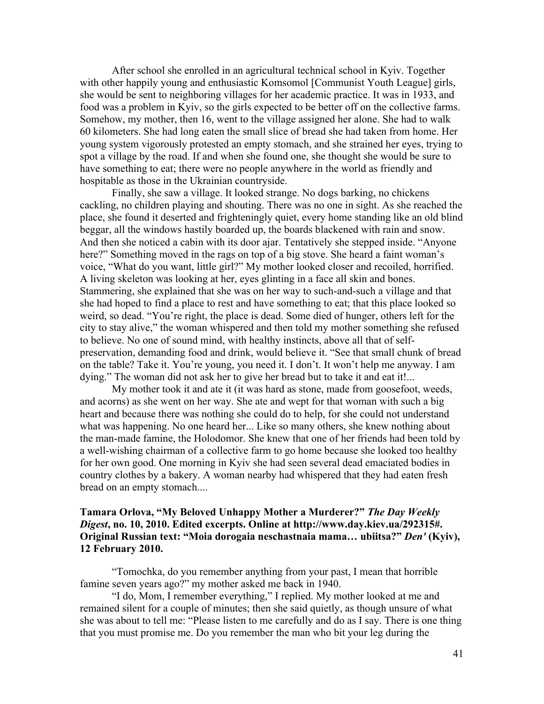After school she enrolled in an agricultural technical school in Kyiv. Together with other happily young and enthusiastic Komsomol [Communist Youth League] girls, she would be sent to neighboring villages for her academic practice. It was in 1933, and food was a problem in Kyiv, so the girls expected to be better off on the collective farms. Somehow, my mother, then 16, went to the village assigned her alone. She had to walk 60 kilometers. She had long eaten the small slice of bread she had taken from home. Her young system vigorously protested an empty stomach, and she strained her eyes, trying to spot a village by the road. If and when she found one, she thought she would be sure to have something to eat; there were no people anywhere in the world as friendly and hospitable as those in the Ukrainian countryside.

Finally, she saw a village. It looked strange. No dogs barking, no chickens cackling, no children playing and shouting. There was no one in sight. As she reached the place, she found it deserted and frighteningly quiet, every home standing like an old blind beggar, all the windows hastily boarded up, the boards blackened with rain and snow. And then she noticed a cabin with its door ajar. Tentatively she stepped inside. "Anyone here?" Something moved in the rags on top of a big stove. She heard a faint woman's voice, "What do you want, little girl?" My mother looked closer and recoiled, horrified. A living skeleton was looking at her, eyes glinting in a face all skin and bones. Stammering, she explained that she was on her way to such-and-such a village and that she had hoped to find a place to rest and have something to eat; that this place looked so weird, so dead. "You're right, the place is dead. Some died of hunger, others left for the city to stay alive," the woman whispered and then told my mother something she refused to believe. No one of sound mind, with healthy instincts, above all that of selfpreservation, demanding food and drink, would believe it. "See that small chunk of bread on the table? Take it. You're young, you need it. I don't. It won't help me anyway. I am dying." The woman did not ask her to give her bread but to take it and eat it!...

My mother took it and ate it (it was hard as stone, made from goosefoot, weeds, and acorns) as she went on her way. She ate and wept for that woman with such a big heart and because there was nothing she could do to help, for she could not understand what was happening. No one heard her... Like so many others, she knew nothing about the man-made famine, the Holodomor. She knew that one of her friends had been told by a well-wishing chairman of a collective farm to go home because she looked too healthy for her own good. One morning in Kyiv she had seen several dead emaciated bodies in country clothes by a bakery. A woman nearby had whispered that they had eaten fresh bread on an empty stomach....

# **Tamara Orlova, "My Beloved Unhappy Mother a Murderer?"** *The Day Weekly Digest***, no. 10, 2010. Edited excerpts. Online at http://www.day.kiev.ua/292315#. Original Russian text: "Moia dorogaia neschastnaia mama… ubiitsa?"** *Den'* **(Kyiv), 12 February 2010.**

"Tomochka, do you remember anything from your past, I mean that horrible famine seven years ago?" my mother asked me back in 1940.

"I do, Mom, I remember everything," I replied. My mother looked at me and remained silent for a couple of minutes; then she said quietly, as though unsure of what she was about to tell me: "Please listen to me carefully and do as I say. There is one thing that you must promise me. Do you remember the man who bit your leg during the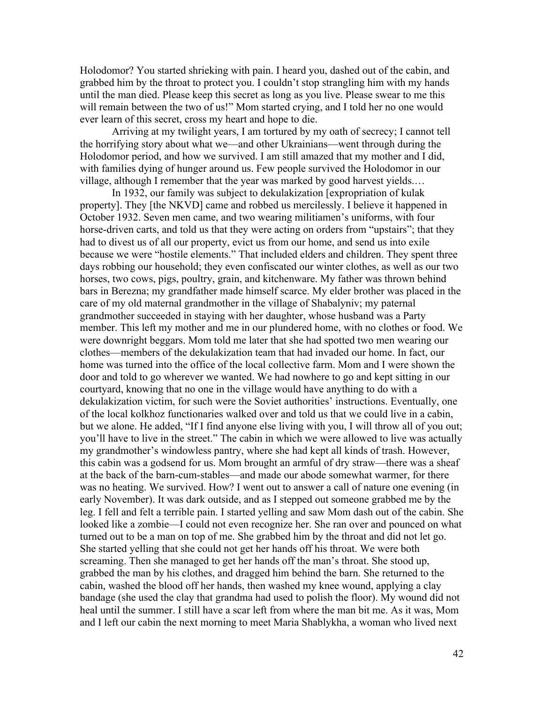Holodomor? You started shrieking with pain. I heard you, dashed out of the cabin, and grabbed him by the throat to protect you. I couldn't stop strangling him with my hands until the man died. Please keep this secret as long as you live. Please swear to me this will remain between the two of us!" Mom started crying, and I told her no one would ever learn of this secret, cross my heart and hope to die.

Arriving at my twilight years, I am tortured by my oath of secrecy; I cannot tell the horrifying story about what we—and other Ukrainians—went through during the Holodomor period, and how we survived. I am still amazed that my mother and I did, with families dying of hunger around us. Few people survived the Holodomor in our village, although I remember that the year was marked by good harvest yields.…

In 1932, our family was subject to dekulakization [expropriation of kulak property]. They [the NKVD] came and robbed us mercilessly. I believe it happened in October 1932. Seven men came, and two wearing militiamen's uniforms, with four horse-driven carts, and told us that they were acting on orders from "upstairs"; that they had to divest us of all our property, evict us from our home, and send us into exile because we were "hostile elements." That included elders and children. They spent three days robbing our household; they even confiscated our winter clothes, as well as our two horses, two cows, pigs, poultry, grain, and kitchenware. My father was thrown behind bars in Berezna; my grandfather made himself scarce. My elder brother was placed in the care of my old maternal grandmother in the village of Shabalyniv; my paternal grandmother succeeded in staying with her daughter, whose husband was a Party member. This left my mother and me in our plundered home, with no clothes or food. We were downright beggars. Mom told me later that she had spotted two men wearing our clothes—members of the dekulakization team that had invaded our home. In fact, our home was turned into the office of the local collective farm. Mom and I were shown the door and told to go wherever we wanted. We had nowhere to go and kept sitting in our courtyard, knowing that no one in the village would have anything to do with a dekulakization victim, for such were the Soviet authorities' instructions. Eventually, one of the local kolkhoz functionaries walked over and told us that we could live in a cabin, but we alone. He added, "If I find anyone else living with you, I will throw all of you out; you'll have to live in the street." The cabin in which we were allowed to live was actually my grandmother's windowless pantry, where she had kept all kinds of trash. However, this cabin was a godsend for us. Mom brought an armful of dry straw—there was a sheaf at the back of the barn-cum-stables—and made our abode somewhat warmer, for there was no heating. We survived. How? I went out to answer a call of nature one evening (in early November). It was dark outside, and as I stepped out someone grabbed me by the leg. I fell and felt a terrible pain. I started yelling and saw Mom dash out of the cabin. She looked like a zombie—I could not even recognize her. She ran over and pounced on what turned out to be a man on top of me. She grabbed him by the throat and did not let go. She started yelling that she could not get her hands off his throat. We were both screaming. Then she managed to get her hands off the man's throat. She stood up, grabbed the man by his clothes, and dragged him behind the barn. She returned to the cabin, washed the blood off her hands, then washed my knee wound, applying a clay bandage (she used the clay that grandma had used to polish the floor). My wound did not heal until the summer. I still have a scar left from where the man bit me. As it was, Mom and I left our cabin the next morning to meet Maria Shablykha, a woman who lived next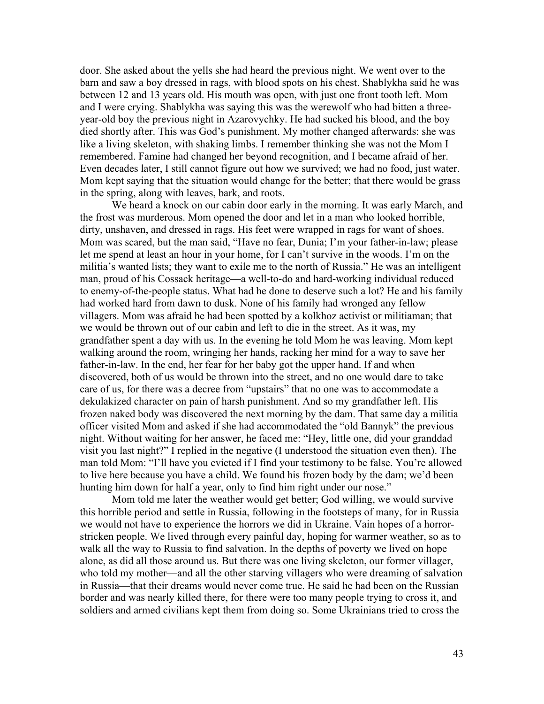door. She asked about the yells she had heard the previous night. We went over to the barn and saw a boy dressed in rags, with blood spots on his chest. Shablykha said he was between 12 and 13 years old. His mouth was open, with just one front tooth left. Mom and I were crying. Shablykha was saying this was the werewolf who had bitten a threeyear-old boy the previous night in Azarovychky. He had sucked his blood, and the boy died shortly after. This was God's punishment. My mother changed afterwards: she was like a living skeleton, with shaking limbs. I remember thinking she was not the Mom I remembered. Famine had changed her beyond recognition, and I became afraid of her. Even decades later, I still cannot figure out how we survived; we had no food, just water. Mom kept saying that the situation would change for the better; that there would be grass in the spring, along with leaves, bark, and roots.

We heard a knock on our cabin door early in the morning. It was early March, and the frost was murderous. Mom opened the door and let in a man who looked horrible, dirty, unshaven, and dressed in rags. His feet were wrapped in rags for want of shoes. Mom was scared, but the man said, "Have no fear, Dunia; I'm your father-in-law; please let me spend at least an hour in your home, for I can't survive in the woods. I'm on the militia's wanted lists; they want to exile me to the north of Russia." He was an intelligent man, proud of his Cossack heritage—a well-to-do and hard-working individual reduced to enemy-of-the-people status. What had he done to deserve such a lot? He and his family had worked hard from dawn to dusk. None of his family had wronged any fellow villagers. Mom was afraid he had been spotted by a kolkhoz activist or militiaman; that we would be thrown out of our cabin and left to die in the street. As it was, my grandfather spent a day with us. In the evening he told Mom he was leaving. Mom kept walking around the room, wringing her hands, racking her mind for a way to save her father-in-law. In the end, her fear for her baby got the upper hand. If and when discovered, both of us would be thrown into the street, and no one would dare to take care of us, for there was a decree from "upstairs" that no one was to accommodate a dekulakized character on pain of harsh punishment. And so my grandfather left. His frozen naked body was discovered the next morning by the dam. That same day a militia officer visited Mom and asked if she had accommodated the "old Bannyk" the previous night. Without waiting for her answer, he faced me: "Hey, little one, did your granddad visit you last night?" I replied in the negative (I understood the situation even then). The man told Mom: "I'll have you evicted if I find your testimony to be false. You're allowed to live here because you have a child. We found his frozen body by the dam; we'd been hunting him down for half a year, only to find him right under our nose."

Mom told me later the weather would get better; God willing, we would survive this horrible period and settle in Russia, following in the footsteps of many, for in Russia we would not have to experience the horrors we did in Ukraine. Vain hopes of a horrorstricken people. We lived through every painful day, hoping for warmer weather, so as to walk all the way to Russia to find salvation. In the depths of poverty we lived on hope alone, as did all those around us. But there was one living skeleton, our former villager, who told my mother—and all the other starving villagers who were dreaming of salvation in Russia—that their dreams would never come true. He said he had been on the Russian border and was nearly killed there, for there were too many people trying to cross it, and soldiers and armed civilians kept them from doing so. Some Ukrainians tried to cross the